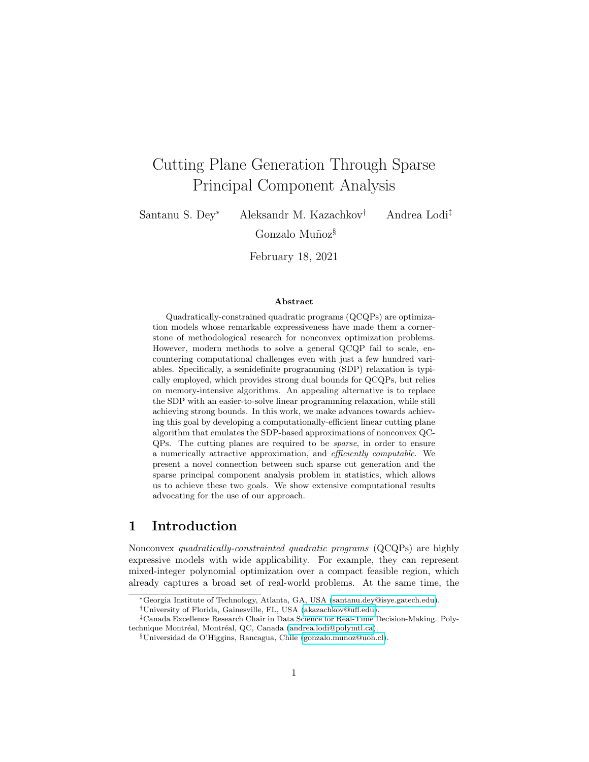# Cutting Plane Generation Through Sparse Principal Component Analysis

Santanu S. Dey<sup>∗</sup> Aleksandr M. Kazachkov† Andrea Lodi‡

Gonzalo Muñoz<sup>§</sup>

February 18, 2021

#### Abstract

Quadratically-constrained quadratic programs (QCQPs) are optimization models whose remarkable expressiveness have made them a cornerstone of methodological research for nonconvex optimization problems. However, modern methods to solve a general QCQP fail to scale, encountering computational challenges even with just a few hundred variables. Specifically, a semidefinite programming (SDP) relaxation is typically employed, which provides strong dual bounds for QCQPs, but relies on memory-intensive algorithms. An appealing alternative is to replace the SDP with an easier-to-solve linear programming relaxation, while still achieving strong bounds. In this work, we make advances towards achieving this goal by developing a computationally-efficient linear cutting plane algorithm that emulates the SDP-based approximations of nonconvex QC-QPs. The cutting planes are required to be sparse, in order to ensure a numerically attractive approximation, and efficiently computable. We present a novel connection between such sparse cut generation and the sparse principal component analysis problem in statistics, which allows us to achieve these two goals. We show extensive computational results advocating for the use of our approach.

# 1 Introduction

Nonconvex quadratically-constrainted quadratic programs (QCQPs) are highly expressive models with wide applicability. For example, they can represent mixed-integer polynomial optimization over a compact feasible region, which already captures a broad set of real-world problems. At the same time, the

<sup>∗</sup>Georgia Institute of Technology, Atlanta, GA, USA [\(santanu.dey@isye.gatech.edu\)](mailto:santanu.dey@isye.gatech.edu).

<sup>†</sup>University of Florida, Gainesville, FL, USA [\(akazachkov@ufl.edu\)](mailto:akazachkov@ufl.edu).

<sup>‡</sup>Canada Excellence Research Chair in Data Science for Real-Time Decision-Making. Poly-technique Montréal, Montréal, QC, Canada [\(andrea.lodi@polymtl.ca\)](mailto:andrea.lodi@polymtl.ca).

<sup>§</sup>Universidad de O'Higgins, Rancagua, Chile [\(gonzalo.munoz@uoh.cl\)](mailto:gonzalo.munoz@uoh.cl).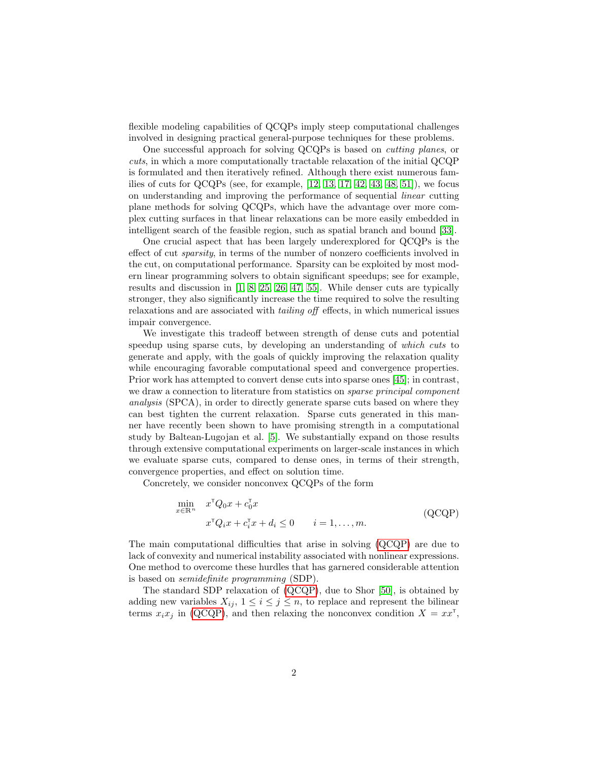flexible modeling capabilities of QCQPs imply steep computational challenges involved in designing practical general-purpose techniques for these problems.

One successful approach for solving QCQPs is based on cutting planes, or cuts, in which a more computationally tractable relaxation of the initial QCQP is formulated and then iteratively refined. Although there exist numerous families of cuts for QCQPs (see, for example,  $[12, 13, 17, 42, 43, 48, 51]$  $[12, 13, 17, 42, 43, 48, 51]$  $[12, 13, 17, 42, 43, 48, 51]$  $[12, 13, 17, 42, 43, 48, 51]$  $[12, 13, 17, 42, 43, 48, 51]$  $[12, 13, 17, 42, 43, 48, 51]$  $[12, 13, 17, 42, 43, 48, 51]$ ), we focus on understanding and improving the performance of sequential linear cutting plane methods for solving QCQPs, which have the advantage over more complex cutting surfaces in that linear relaxations can be more easily embedded in intelligent search of the feasible region, such as spatial branch and bound [\[33\]](#page-28-0).

One crucial aspect that has been largely underexplored for QCQPs is the effect of cut sparsity, in terms of the number of nonzero coefficients involved in the cut, on computational performance. Sparsity can be exploited by most modern linear programming solvers to obtain significant speedups; see for example, results and discussion in [\[1,](#page-26-1) [8,](#page-26-2) [25,](#page-27-2) [26,](#page-27-3) [47,](#page-29-4) [55\]](#page-29-5). While denser cuts are typically stronger, they also significantly increase the time required to solve the resulting relaxations and are associated with tailing off effects, in which numerical issues impair convergence.

We investigate this tradeoff between strength of dense cuts and potential speedup using sparse cuts, by developing an understanding of which cuts to generate and apply, with the goals of quickly improving the relaxation quality while encouraging favorable computational speed and convergence properties. Prior work has attempted to convert dense cuts into sparse ones [\[45\]](#page-29-6); in contrast, we draw a connection to literature from statistics on *sparse principal component* analysis (SPCA), in order to directly generate sparse cuts based on where they can best tighten the current relaxation. Sparse cuts generated in this manner have recently been shown to have promising strength in a computational study by Baltean-Lugojan et al. [\[5\]](#page-26-3). We substantially expand on those results through extensive computational experiments on larger-scale instances in which we evaluate sparse cuts, compared to dense ones, in terms of their strength, convergence properties, and effect on solution time.

Concretely, we consider nonconvex QCQPs of the form

<span id="page-1-1"></span><span id="page-1-0"></span>
$$
\min_{x \in \mathbb{R}^n} \quad x^{\mathsf{T}} Q_0 x + c_0^{\mathsf{T}} x \n\quad x^{\mathsf{T}} Q_i x + c_i^{\mathsf{T}} x + d_i \le 0 \qquad i = 1, \dots, m.
$$
\n(QCQP)

The main computational difficulties that arise in solving [\(QCQP\)](#page-1-0) are due to lack of convexity and numerical instability associated with nonlinear expressions. One method to overcome these hurdles that has garnered considerable attention is based on semidefinite programming (SDP).

The standard SDP relaxation of [\(QCQP\)](#page-1-0), due to Shor [\[50\]](#page-29-7), is obtained by adding new variables  $X_{ij}$ ,  $1 \leq i \leq j \leq n$ , to replace and represent the bilinear terms  $x_i x_j$  in [\(QCQP\)](#page-1-0), and then relaxing the nonconvex condition  $X = x x^{\mathsf{T}}$ ,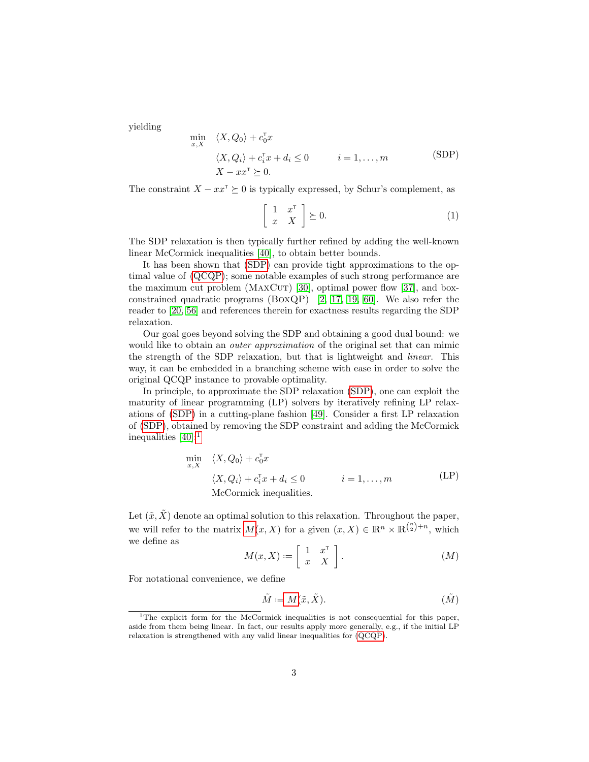yielding

 $x,$ 

$$
\min_{x,X} \langle X, Q_0 \rangle + c_0^{\mathsf{T}} x \langle X, Q_i \rangle + c_i^{\mathsf{T}} x + d_i \le 0 \qquad i = 1, ..., m
$$
\n
$$
\langle X, Q_i \rangle + c_i^{\mathsf{T}} x + d_i \le 0 \qquad i = 1, ..., m
$$
\n
$$
(SDP)
$$

The constraint  $X - xx^{\mathsf{T}} \succeq 0$  is typically expressed, by Schur's complement, as

<span id="page-2-0"></span>
$$
\left[\begin{array}{cc} 1 & x^{\mathsf{T}} \\ x & X \end{array}\right] \succeq 0. \tag{1}
$$

The SDP relaxation is then typically further refined by adding the well-known linear McCormick inequalities [\[40\]](#page-28-1), to obtain better bounds.

It has been shown that [\(SDP\)](#page-2-0) can provide tight approximations to the optimal value of [\(QCQP\)](#page-1-0); some notable examples of such strong performance are the maximum cut problem ( $MAXCUT$ ) [\[30\]](#page-28-2), optimal power flow [\[37\]](#page-28-3), and boxconstrained quadratic programs (BoxQP) [\[2,](#page-26-4) [17,](#page-27-1) [19,](#page-27-4) [60\]](#page-30-0). We also refer the reader to [\[20,](#page-27-5) [56\]](#page-30-1) and references therein for exactness results regarding the SDP relaxation.

Our goal goes beyond solving the SDP and obtaining a good dual bound: we would like to obtain an *outer approximation* of the original set that can mimic the strength of the SDP relaxation, but that is lightweight and linear. This way, it can be embedded in a branching scheme with ease in order to solve the original QCQP instance to provable optimality.

In principle, to approximate the SDP relaxation [\(SDP\)](#page-2-0), one can exploit the maturity of linear programming (LP) solvers by iteratively refining LP relaxations of [\(SDP\)](#page-2-0) in a cutting-plane fashion [\[49\]](#page-29-8). Consider a first LP relaxation of [\(SDP\)](#page-2-0), obtained by removing the SDP constraint and adding the McCormick inequalities  $[40]:$  $[40]:$ <sup>[1](#page-2-1)</sup>

<span id="page-2-4"></span>
$$
\min_{x,X} \langle X, Q_0 \rangle + c_0^{\mathsf{T}} x
$$
\n
$$
\langle X, Q_i \rangle + c_i^{\mathsf{T}} x + d_i \le 0 \qquad i = 1, ..., m
$$
\nMcCormick inequalities.

\n
$$
(LP)
$$

Let  $(\tilde{x}, \tilde{X})$  denote an optimal solution to this relaxation. Throughout the paper, we will refer to the matrix  $M(x, X)$  $M(x, X)$  for a given  $(x, X) \in \mathbb{R}^n \times \mathbb{R}^{\binom{n}{2}+n}$ , which we define as  $\overline{a}$ 

<span id="page-2-5"></span>
$$
M(x, X) := \left[ \begin{array}{cc} 1 & x^{\mathrm{T}} \\ x & X \end{array} \right]. \tag{M}
$$

For notational convenience, we define

<span id="page-2-3"></span><span id="page-2-2"></span>
$$
\tilde{M} := M(\tilde{x}, \tilde{X}).\tag{M}
$$

<span id="page-2-1"></span><sup>&</sup>lt;sup>1</sup>The explicit form for the McCormick inequalities is not consequential for this paper, aside from them being linear. In fact, our results apply more generally, e.g., if the initial LP relaxation is strengthened with any valid linear inequalities for [\(QCQP\)](#page-1-0).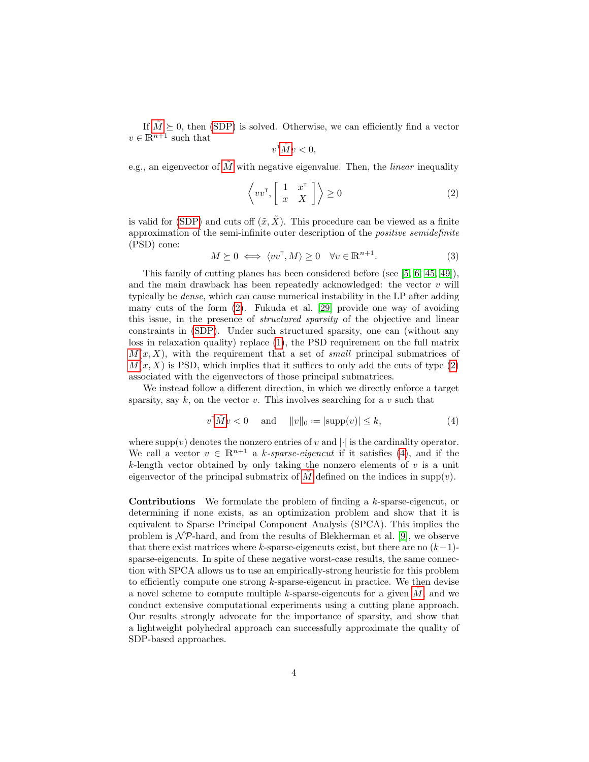If  $\tilde{M} \succeq 0$  $\tilde{M} \succeq 0$  $\tilde{M} \succeq 0$ , then [\(SDP\)](#page-2-0) is solved. Otherwise, we can efficiently find a vector  $v \in \mathbb{R}^{n+1}$  such that

$$
v^{\mathsf{T}} \tilde{M} v < 0,
$$

e.g., an eigenvector of  $\tilde{M}$  $\tilde{M}$  $\tilde{M}$  with negative eigenvalue. Then, the *linear* inequality

$$
\left\langle vv^{\mathsf{T}}, \begin{bmatrix} 1 & x^{\mathsf{T}} \\ x & X \end{bmatrix} \right\rangle \ge 0 \tag{2}
$$

is valid for [\(SDP\)](#page-2-0) and cuts off  $(\tilde{x}, \tilde{X})$ . This procedure can be viewed as a finite approximation of the semi-infinite outer description of the positive semidefinite (PSD) cone:

$$
M \succeq 0 \iff \langle vv^{\mathsf{T}}, M \rangle \ge 0 \quad \forall v \in \mathbb{R}^{n+1}.
$$
 (3)

This family of cutting planes has been considered before (see [\[5,](#page-26-3) [6,](#page-26-5) [45,](#page-29-6) [49\]](#page-29-8)), and the main drawback has been repeatedly acknowledged: the vector  $v$  will typically be dense, which can cause numerical instability in the LP after adding many cuts of the form [\(2\)](#page-2-4). Fukuda et al. [\[29\]](#page-28-4) provide one way of avoiding this issue, in the presence of structured sparsity of the objective and linear constraints in [\(SDP\)](#page-2-0). Under such structured sparsity, one can (without any loss in relaxation quality) replace [\(1\)](#page-1-1), the PSD requirement on the full matrix  $M(x, X)$  $M(x, X)$ , with the requirement that a set of small principal submatrices of  $M(x, X)$  $M(x, X)$  is PSD, which implies that it suffices to only add the cuts of type  $(2)$ associated with the eigenvectors of those principal submatrices.

We instead follow a different direction, in which we directly enforce a target sparsity, say  $k$ , on the vector  $v$ . This involves searching for a  $v$  such that

<span id="page-3-0"></span>
$$
v^{\mathsf{T}}\tilde{M}v < 0 \quad \text{and} \quad \|v\|_{0} := |\text{supp}(v)| \le k,\tag{4}
$$

where  $\text{supp}(v)$  denotes the nonzero entries of v and  $|\cdot|$  is the cardinality operator. We call a vector  $v \in \mathbb{R}^{n+1}$  a k-sparse-eigencut if it satisfies [\(4\)](#page-3-0), and if the  $k$ -length vector obtained by only taking the nonzero elements of  $v$  is a unit eigenvector of the principal submatrix of  $M$  defined on the indices in supp(v).

Contributions We formulate the problem of finding a k-sparse-eigencut, or determining if none exists, as an optimization problem and show that it is equivalent to Sparse Principal Component Analysis (SPCA). This implies the problem is  $\mathcal{NP}$ -hard, and from the results of Blekherman et al. [\[9\]](#page-26-6), we observe that there exist matrices where k-sparse-eigencuts exist, but there are no  $(k-1)$ sparse-eigencuts. In spite of these negative worst-case results, the same connection with SPCA allows us to use an empirically-strong heuristic for this problem to efficiently compute one strong  $k$ -sparse-eigencut in practice. We then devise a novel scheme to compute multiple k-sparse-eigencuts for a given  $M$ , and we conduct extensive computational experiments using a cutting plane approach. Our results strongly advocate for the importance of sparsity, and show that a lightweight polyhedral approach can successfully approximate the quality of SDP-based approaches.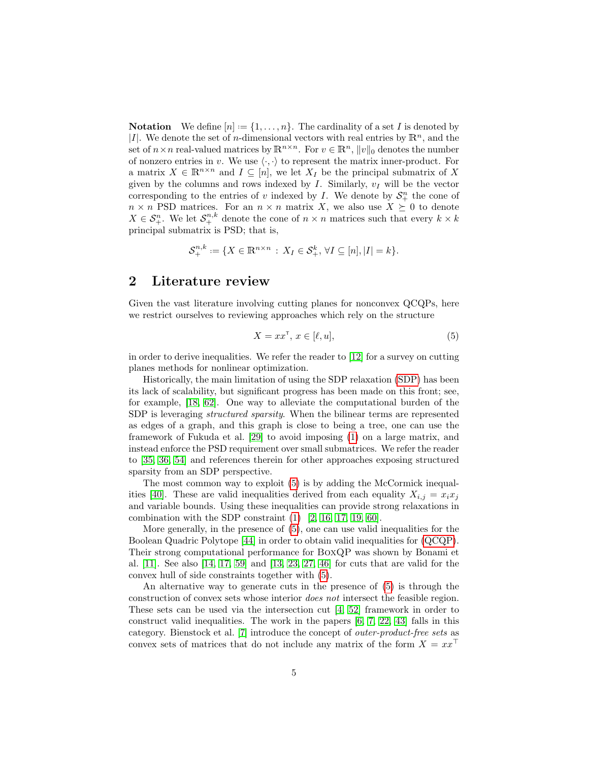**Notation** We define  $[n] := \{1, \ldots, n\}$ . The cardinality of a set I is denoted by |I|. We denote the set of *n*-dimensional vectors with real entries by  $\mathbb{R}^n$ , and the set of  $n \times n$  real-valued matrices by  $\mathbb{R}^{n \times n}$ . For  $v \in \mathbb{R}^n$ ,  $||v||_0$  denotes the number of nonzero entries in v. We use  $\langle \cdot, \cdot \rangle$  to represent the matrix inner-product. For a matrix  $X \in \mathbb{R}^{n \times n}$  and  $I \subseteq [n]$ , we let  $X_I$  be the principal submatrix of X given by the columns and rows indexed by  $I$ . Similarly,  $v_I$  will be the vector corresponding to the entries of v indexed by  $I$ . We denote by  $S_{+}^{n}$  the cone of  $n \times n$  PSD matrices. For an  $n \times n$  matrix X, we also use  $X \succeq 0$  to denote  $X \in \mathcal{S}_{+}^{n}$ . We let  $\mathcal{S}_{+}^{n,k}$  denote the cone of  $n \times n$  matrices such that every  $k \times k$ principal submatrix is PSD; that is,

$$
\mathcal{S}_{+}^{n,k} := \{ X \in \mathbb{R}^{n \times n} : X_I \in \mathcal{S}_{+}^k, \forall I \subseteq [n], |I| = k \}.
$$

# 2 Literature review

Given the vast literature involving cutting planes for nonconvex QCQPs, here we restrict ourselves to reviewing approaches which rely on the structure

<span id="page-4-0"></span>
$$
X = xx^{\mathsf{T}}, \, x \in [\ell, u], \tag{5}
$$

in order to derive inequalities. We refer the reader to [\[12\]](#page-26-0) for a survey on cutting planes methods for nonlinear optimization.

Historically, the main limitation of using the SDP relaxation [\(SDP\)](#page-2-0) has been its lack of scalability, but significant progress has been made on this front; see, for example, [\[18,](#page-27-6) [62\]](#page-30-2). One way to alleviate the computational burden of the SDP is leveraging structured sparsity. When the bilinear terms are represented as edges of a graph, and this graph is close to being a tree, one can use the framework of Fukuda et al. [\[29\]](#page-28-4) to avoid imposing [\(1\)](#page-1-1) on a large matrix, and instead enforce the PSD requirement over small submatrices. We refer the reader to [\[35,](#page-28-5) [36,](#page-28-6) [54\]](#page-29-9) and references therein for other approaches exposing structured sparsity from an SDP perspective.

The most common way to exploit [\(5\)](#page-4-0) is by adding the McCormick inequal-ities [\[40\]](#page-28-1). These are valid inequalities derived from each equality  $X_{i,j} = x_i x_j$ and variable bounds. Using these inequalities can provide strong relaxations in combination with the SDP constraint  $(1)$  [\[2,](#page-26-4) [16,](#page-27-7) [17,](#page-27-1) [19,](#page-27-4) [60\]](#page-30-0).

More generally, in the presence of [\(5\)](#page-4-0), one can use valid inequalities for the Boolean Quadric Polytope [\[44\]](#page-29-10) in order to obtain valid inequalities for [\(QCQP\)](#page-1-0). Their strong computational performance for BoxQP was shown by Bonami et al. [\[11\]](#page-26-7). See also [\[14,](#page-27-8) [17,](#page-27-1) [59\]](#page-30-3) and [\[13,](#page-27-0) [23,](#page-27-9) [27,](#page-28-7) [46\]](#page-29-11) for cuts that are valid for the convex hull of side constraints together with [\(5\)](#page-4-0).

An alternative way to generate cuts in the presence of [\(5\)](#page-4-0) is through the construction of convex sets whose interior does not intersect the feasible region. These sets can be used via the intersection cut [\[4,](#page-26-8) [52\]](#page-29-12) framework in order to construct valid inequalities. The work in the papers [\[6,](#page-26-5) [7,](#page-26-9) [22,](#page-27-10) [43\]](#page-29-1) falls in this category. Bienstock et al. [\[7\]](#page-26-9) introduce the concept of outer-product-free sets as convex sets of matrices that do not include any matrix of the form  $X = xx^{\perp}$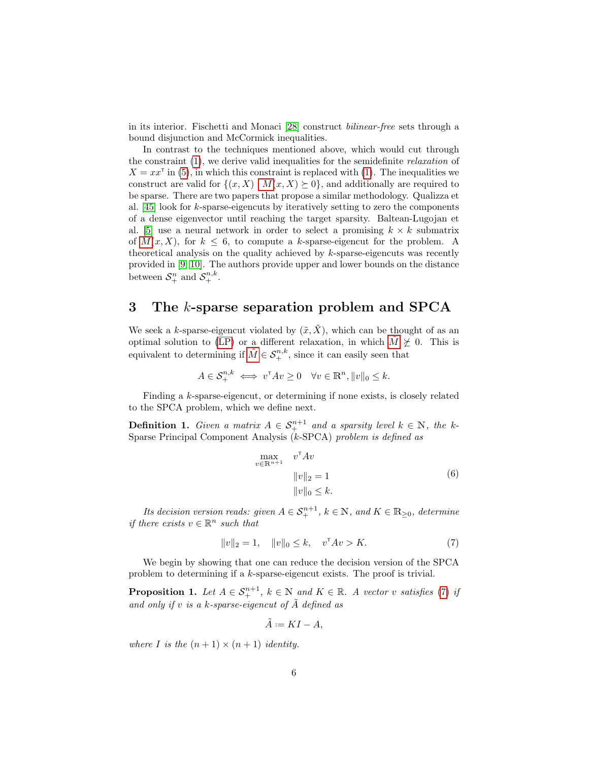in its interior. Fischetti and Monaci [\[28\]](#page-28-8) construct bilinear-free sets through a bound disjunction and McCormick inequalities.

In contrast to the techniques mentioned above, which would cut through the constraint [\(1\)](#page-1-1), we derive valid inequalities for the semidefinite relaxation of  $X = xx^{\dagger}$  in [\(5\)](#page-4-0), in which this constraint is replaced with [\(1\)](#page-1-1). The inequalities we construct are valid for  $\{(x, X) : M(x, X) \geq 0\}$  $\{(x, X) : M(x, X) \geq 0\}$  $\{(x, X) : M(x, X) \geq 0\}$ , and additionally are required to be sparse. There are two papers that propose a similar methodology. Qualizza et al. [\[45\]](#page-29-6) look for k-sparse-eigencuts by iteratively setting to zero the components of a dense eigenvector until reaching the target sparsity. Baltean-Lugojan et al. [\[5\]](#page-26-3) use a neural network in order to select a promising  $k \times k$  submatrix of  $M(x, X)$  $M(x, X)$ , for  $k \leq 6$ , to compute a k-sparse-eigencut for the problem. A theoretical analysis on the quality achieved by  $k$ -sparse-eigencuts was recently provided in [\[9,](#page-26-6) [10\]](#page-26-10). The authors provide upper and lower bounds on the distance between  $S^n_+$  and  $S^{n,k}_+$ .

# 3 The k-sparse separation problem and SPCA

We seek a k-sparse-eigencut violated by  $(\tilde{x}, \tilde{X})$ , which can be thought of as an optimal solution to [\(LP\)](#page-2-5) or a different relaxation, in which  $\tilde{M} \not\succeq 0$  $\tilde{M} \not\succeq 0$  $\tilde{M} \not\succeq 0$ . This is equivalent to determining if  $\tilde{M} \in \mathcal{S}_{+}^{n,k}$  $\tilde{M} \in \mathcal{S}_{+}^{n,k}$  $\tilde{M} \in \mathcal{S}_{+}^{n,k}$ , since it can easily seen that

$$
A \in \mathcal{S}_{+}^{n,k} \iff v^{\mathsf{T}}Av \ge 0 \quad \forall v \in \mathbb{R}^{n}, ||v||_{0} \le k.
$$

Finding a k-sparse-eigencut, or determining if none exists, is closely related to the SPCA problem, which we define next.

**Definition 1.** Given a matrix  $A \in S^{n+1}_+$  and a sparsity level  $k \in \mathbb{N}$ , the k-Sparse Principal Component Analysis (k-SPCA) problem is defined as

<span id="page-5-1"></span>
$$
\max_{v \in \mathbb{R}^{n+1}} v^{\mathsf{T}} Av
$$
  

$$
||v||_2 = 1
$$
  

$$
||v||_0 \le k.
$$
 (6)

Its decision version reads: given  $A \in S^{n+1}_+$ ,  $k \in \mathbb{N}$ , and  $K \in \mathbb{R}_{\geq 0}$ , determine *if there exists*  $v \in \mathbb{R}^n$  *such that* 

<span id="page-5-0"></span>
$$
||v||_2 = 1, \quad ||v||_0 \le k, \quad v^{\mathsf{T}}Av > K. \tag{7}
$$

We begin by showing that one can reduce the decision version of the SPCA problem to determining if a k-sparse-eigencut exists. The proof is trivial.

**Proposition 1.** Let  $A \in S^{n+1}_+$ ,  $k \in \mathbb{N}$  and  $K \in \mathbb{R}$ . A vector v satisfies [\(7\)](#page-5-0) if and only if v is a k-sparse-eigencut of  $\tilde{A}$  defined as

$$
\tilde{A} := KI - A,
$$

where I is the  $(n + 1) \times (n + 1)$  identity.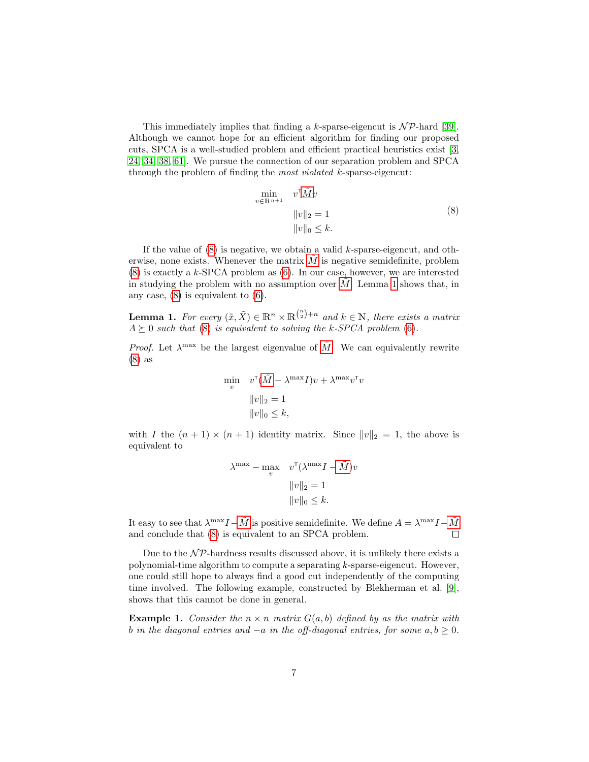This immediately implies that finding a k-sparse-eigencut is  $N\mathcal{P}$ -hard [\[39\]](#page-28-9). Although we cannot hope for an efficient algorithm for finding our proposed cuts, SPCA is a well-studied problem and efficient practical heuristics exist [\[3,](#page-26-11) [24,](#page-27-11) [34,](#page-28-10) [38,](#page-28-11) [61\]](#page-30-4). We pursue the connection of our separation problem and SPCA through the problem of finding the most violated k-sparse-eigencut:

<span id="page-6-0"></span>
$$
\min_{v \in \mathbb{R}^{n+1}} v^{\mathsf{T}} \tilde{M} v
$$
  

$$
||v||_2 = 1
$$
  

$$
||v||_0 \le k.
$$
 (8)

If the value of  $(8)$  is negative, we obtain a valid k-sparse-eigencut, and otherwise, none exists. Whenever the matrix  $M$  is negative semidefinite, problem [\(8\)](#page-6-0) is exactly a k-SPCA problem as [\(6\)](#page-5-1). In our case, however, we are interested in studying the problem with no assumption over  $M$ . Lemma [1](#page-6-1) shows that, in any case, [\(8\)](#page-6-0) is equivalent to [\(6\)](#page-5-1).

<span id="page-6-1"></span>**Lemma 1.** For every  $(\tilde{x}, \tilde{X}) \in \mathbb{R}^n \times \mathbb{R}^{\binom{n}{2}+n}$  and  $k \in \mathbb{N}$ , there exists a matrix  $A \succeq 0$  such that [\(8\)](#page-6-0) is equivalent to solving the k-SPCA problem [\(6\)](#page-5-1).

*Proof.* Let  $\lambda^{\max}$  be the largest eigenvalue of  $\tilde{M}$  $\tilde{M}$  $\tilde{M}$ . We can equivalently rewrite [\(8\)](#page-6-0) as

$$
\min_{v} \quad v^{\mathsf{T}}(\tilde{M} - \lambda^{\max} I)v + \lambda^{\max} v^{\mathsf{T}} v
$$

$$
||v||_2 = 1
$$

$$
||v||_0 \le k,
$$

with I the  $(n + 1) \times (n + 1)$  identity matrix. Since  $||v||_2 = 1$ , the above is equivalent to

$$
\lambda^{\max} - \max_{v} \quad v^{\text{T}}(\lambda^{\max}I - \tilde{M})v
$$

$$
||v||_2 = 1
$$

$$
||v||_0 \le k.
$$

It easy to see that  $\lambda^{\max}I - \tilde{M}$  $\lambda^{\max}I - \tilde{M}$  $\lambda^{\max}I - \tilde{M}$  is positive semidefinite. We define  $A = \lambda^{\max}I - \tilde{M}$ and conclude that [\(8\)](#page-6-0) is equivalent to an SPCA problem.

Due to the  $\mathcal{NP}$ -hardness results discussed above, it is unlikely there exists a polynomial-time algorithm to compute a separating k-sparse-eigencut. However, one could still hope to always find a good cut independently of the computing time involved. The following example, constructed by Blekherman et al. [\[9\]](#page-26-6), shows that this cannot be done in general.

<span id="page-6-2"></span>**Example 1.** Consider the  $n \times n$  matrix  $G(a, b)$  defined by as the matrix with b in the diagonal entries and  $-a$  in the off-diagonal entries, for some  $a, b \ge 0$ .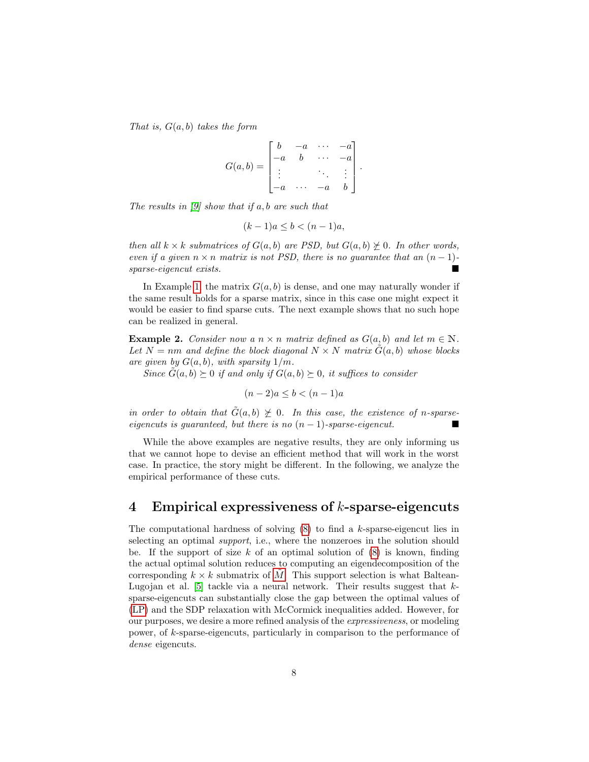That is,  $G(a, b)$  takes the form

$$
G(a,b) = \begin{bmatrix} b & -a & \cdots & -a \\ -a & b & \cdots & -a \\ \vdots & \vdots & \ddots & \vdots \\ -a & \cdots & -a & b \end{bmatrix}.
$$

The results in  $[9]$  show that if a, b are such that

$$
(k-1)a \le b < (n-1)a,
$$

then all  $k \times k$  submatrices of  $G(a, b)$  are PSD, but  $G(a, b) \neq 0$ . In other words, even if a given  $n \times n$  matrix is not PSD, there is no guarantee that an  $(n-1)$ -<br>sparse-eigencut exists. sparse-eigencut exists.

In Example [1,](#page-6-2) the matrix  $G(a, b)$  is dense, and one may naturally wonder if the same result holds for a sparse matrix, since in this case one might expect it would be easier to find sparse cuts. The next example shows that no such hope can be realized in general.

**Example 2.** Consider now a  $n \times n$  matrix defined as  $G(a, b)$  and let  $m \in \mathbb{N}$ . Let  $N = nm$  and define the block diagonal  $N \times N$  matrix  $\hat{G}(a, b)$  whose blocks are given by  $G(a, b)$ , with sparsity  $1/m$ .

Since  $G(a, b) \succeq 0$  if and only if  $G(a, b) \succeq 0$ , it suffices to consider

$$
(n-2)a \le b < (n-1)a
$$

in order to obtain that  $\tilde{G}(a, b) \not\succeq 0$ . In this case, the existence of n-sparseeigencuts is guaranteed, but there is no  $(n-1)$ -sparse-eigencut.

While the above examples are negative results, they are only informing us that we cannot hope to devise an efficient method that will work in the worst case. In practice, the story might be different. In the following, we analyze the empirical performance of these cuts.

# <span id="page-7-0"></span>4 Empirical expressiveness of k-sparse-eigencuts

The computational hardness of solving  $(8)$  to find a k-sparse-eigencut lies in selecting an optimal support, i.e., where the nonzeroes in the solution should be. If the support of size  $k$  of an optimal solution of  $(8)$  is known, finding the actual optimal solution reduces to computing an eigendecomposition of the corresponding  $k \times k$  submatrix of [M](#page-2-3). This support selection is what Baltean-Lugojan et al. [\[5\]](#page-26-3) tackle via a neural network. Their results suggest that  $k$ sparse-eigencuts can substantially close the gap between the optimal values of [\(LP\)](#page-2-5) and the SDP relaxation with McCormick inequalities added. However, for our purposes, we desire a more refined analysis of the expressiveness, or modeling power, of k-sparse-eigencuts, particularly in comparison to the performance of dense eigencuts.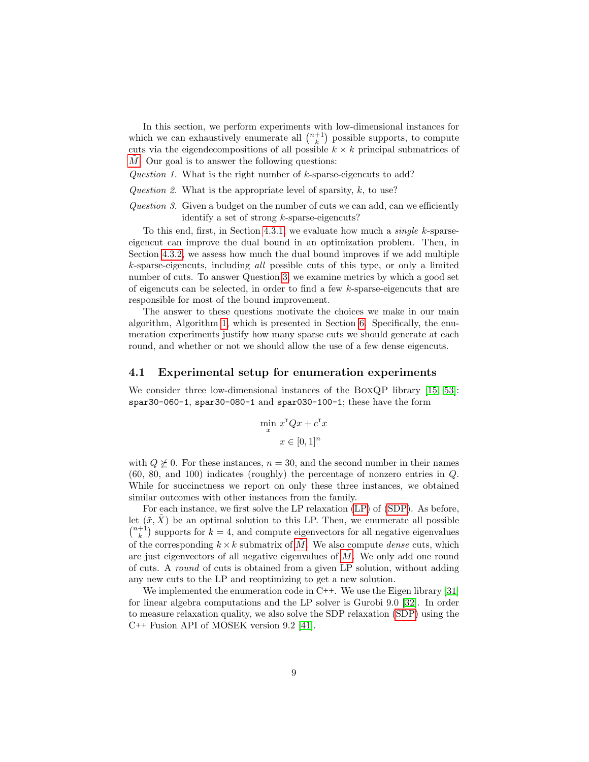In this section, we perform experiments with low-dimensional instances for which we can exhaustively enumerate all  $\binom{n+1}{k}$  possible supports, to compute cuts via the eigendecompositions of all possible  $k \times k$  principal submatrices of  $M$ . Our goal is to answer the following questions:

Question 1. What is the right number of k-sparse-eigencuts to add?

Question 2. What is the appropriate level of sparsity,  $k$ , to use?

<span id="page-8-0"></span>Question 3. Given a budget on the number of cuts we can add, can we efficiently identify a set of strong k-sparse-eigencuts?

To this end, first, in Section [4.3.1,](#page-9-0) we evaluate how much a single k-sparseeigencut can improve the dual bound in an optimization problem. Then, in Section [4.3.2,](#page-10-0) we assess how much the dual bound improves if we add multiple k-sparse-eigencuts, including all possible cuts of this type, or only a limited number of cuts. To answer Question [3,](#page-8-0) we examine metrics by which a good set of eigencuts can be selected, in order to find a few k-sparse-eigencuts that are responsible for most of the bound improvement.

The answer to these questions motivate the choices we make in our main algorithm, Algorithm [1,](#page-12-0) which is presented in Section [6.](#page-15-0) Specifically, the enumeration experiments justify how many sparse cuts we should generate at each round, and whether or not we should allow the use of a few dense eigencuts.

### 4.1 Experimental setup for enumeration experiments

We consider three low-dimensional instances of the BOXQP library [\[15,](#page-27-12) [53\]](#page-29-13): spar30-060-1, spar30-080-1 and spar030-100-1; these have the form

$$
\min_{x} x^{\mathsf{T}} Q x + c^{\mathsf{T}} x
$$

$$
x \in [0, 1]^n
$$

with  $Q \not\succeq 0$ . For these instances,  $n = 30$ , and the second number in their names (60, 80, and 100) indicates (roughly) the percentage of nonzero entries in Q. While for succinctness we report on only these three instances, we obtained similar outcomes with other instances from the family.

For each instance, we first solve the LP relaxation [\(LP\)](#page-2-5) of [\(SDP\)](#page-2-0). As before, let  $(\tilde{x}, X)$  be an optimal solution to this LP. Then, we enumerate all possible  $\binom{n+1}{k}$  supports for  $k = 4$ , and compute eigenvectors for all negative eigenvalues of the corresponding  $k \times k$  submatrix of [M](#page-2-3). We also compute *dense* cuts, which are just eigenvectors of all negative eigenvalues of  $M$ . We only add one round of cuts. A round of cuts is obtained from a given LP solution, without adding any new cuts to the LP and reoptimizing to get a new solution.

We implemented the enumeration code in C++. We use the Eigen library [\[31\]](#page-28-12) for linear algebra computations and the LP solver is Gurobi 9.0 [\[32\]](#page-28-13). In order to measure relaxation quality, we also solve the SDP relaxation [\(SDP\)](#page-2-0) using the C++ Fusion API of MOSEK version 9.2 [\[41\]](#page-28-14).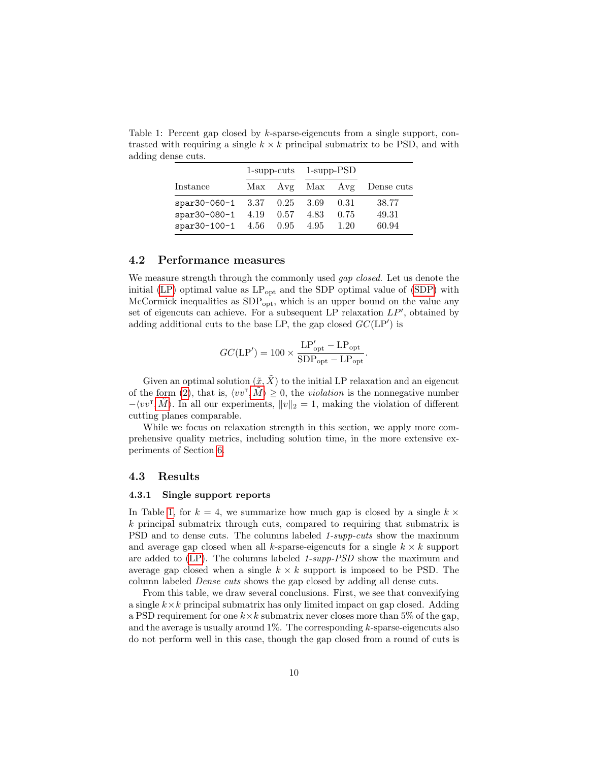Table 1: Percent gap closed by k-sparse-eigencuts from a single support, contrasted with requiring a single  $k \times k$  principal submatrix to be PSD, and with adding dense cuts.

<span id="page-9-1"></span>

|                                          | $1$ -supp-cuts $1$ -supp-PSD |  |      |                            |  |
|------------------------------------------|------------------------------|--|------|----------------------------|--|
| Instance                                 |                              |  |      | Max Avg Max Avg Dense cuts |  |
| spar30-060-1 $3.37$ $0.25$ $3.69$        |                              |  | 0.31 | 38.77                      |  |
| spar30-080-1 $4.19$ $0.57$ $4.83$        |                              |  | 0.75 | 49.31                      |  |
| spar30-100-1 $4.56$ $0.95$ $4.95$ $1.20$ |                              |  |      | 60.94                      |  |

### 4.2 Performance measures

We measure strength through the commonly used *gap closed*. Let us denote the initial [\(LP\)](#page-2-5) optimal value as  $LP_{opt}$  and the SDP optimal value of [\(SDP\)](#page-2-0) with McCormick inequalities as  $SDP_{opt}$ , which is an upper bound on the value any set of eigencuts can achieve. For a subsequent LP relaxation  $LP'$ , obtained by adding additional cuts to the base LP, the gap closed  $GC(\text{LP}')$  is

$$
GC(\text{LP}') = 100 \times \frac{\text{LP}'_{\text{opt}} - \text{LP}_{\text{opt}}}{\text{SDP}_{\text{opt}} - \text{LP}_{\text{opt}}}.
$$

Given an optimal solution  $(\tilde{x}, \tilde{X})$  to the initial LP relaxation and an eigencut of the form [\(2\)](#page-2-4), that is,  $\langle vv^{\dagger}, \tilde{M} \rangle \geq 0$  $\langle vv^{\dagger}, \tilde{M} \rangle \geq 0$  $\langle vv^{\dagger}, \tilde{M} \rangle \geq 0$ , the *violation* is the nonnegative number  $-\langle vv^{\mathsf{T}}, \tilde{M} \rangle$  $-\langle vv^{\mathsf{T}}, \tilde{M} \rangle$  $-\langle vv^{\mathsf{T}}, \tilde{M} \rangle$ . In all our experiments,  $||v||_2 = 1$ , making the violation of different cutting planes comparable.

While we focus on relaxation strength in this section, we apply more comprehensive quality metrics, including solution time, in the more extensive experiments of Section [6.](#page-15-0)

### 4.3 Results

#### <span id="page-9-0"></span>4.3.1 Single support reports

In Table [1,](#page-9-1) for  $k = 4$ , we summarize how much gap is closed by a single  $k \times$ k principal submatrix through cuts, compared to requiring that submatrix is PSD and to dense cuts. The columns labeled 1-supp-cuts show the maximum and average gap closed when all k-sparse-eigencuts for a single  $k \times k$  support are added to [\(LP\)](#page-2-5). The columns labeled 1-supp-PSD show the maximum and average gap closed when a single  $k \times k$  support is imposed to be PSD. The column labeled Dense cuts shows the gap closed by adding all dense cuts.

From this table, we draw several conclusions. First, we see that convexifying a single  $k \times k$  principal submatrix has only limited impact on gap closed. Adding a PSD requirement for one  $k \times k$  submatrix never closes more than 5% of the gap, and the average is usually around  $1\%$ . The corresponding k-sparse-eigencuts also do not perform well in this case, though the gap closed from a round of cuts is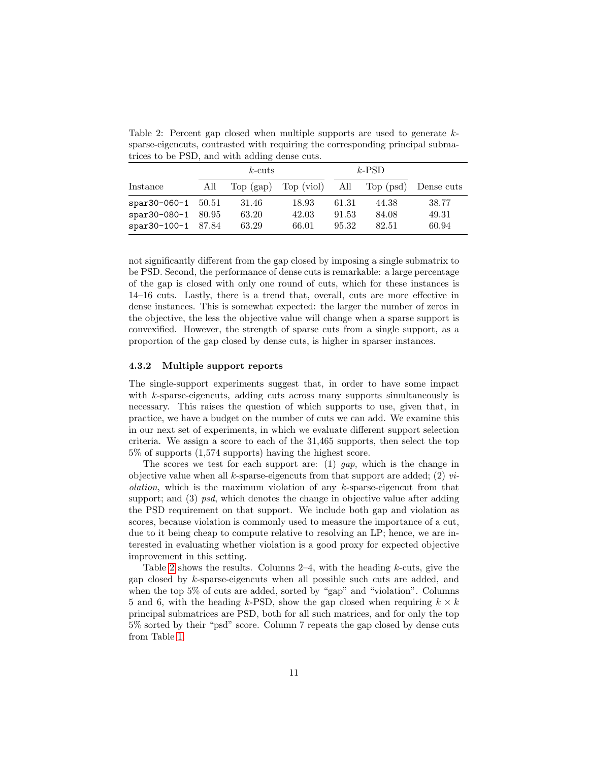<span id="page-10-1"></span>Table 2: Percent gap closed when multiple supports are used to generate ksparse-eigencuts, contrasted with requiring the corresponding principal submatrices to be PSD, and with adding dense cuts.

|                      | $k$ -cuts |             |                |       | $k$ -PSD  |            |  |
|----------------------|-----------|-------------|----------------|-------|-----------|------------|--|
| Instance             | All       | Top $(gap)$ | Top (viol) All |       | Top (psd) | Dense cuts |  |
| spar30-060-1 $50.51$ |           | 31.46       | 18.93          | 61.31 | 44.38     | 38.77      |  |
| $spr30-080-1$ 80.95  |           | 63.20       | 42.03          | 91.53 | 84.08     | 49.31      |  |
| $spr30-100-1$ 87.84  |           | 63.29       | 66.01          | 95.32 | 82.51     | 60.94      |  |

not significantly different from the gap closed by imposing a single submatrix to be PSD. Second, the performance of dense cuts is remarkable: a large percentage of the gap is closed with only one round of cuts, which for these instances is 14–16 cuts. Lastly, there is a trend that, overall, cuts are more effective in dense instances. This is somewhat expected: the larger the number of zeros in the objective, the less the objective value will change when a sparse support is convexified. However, the strength of sparse cuts from a single support, as a proportion of the gap closed by dense cuts, is higher in sparser instances.

#### <span id="page-10-0"></span>4.3.2 Multiple support reports

The single-support experiments suggest that, in order to have some impact with k-sparse-eigencuts, adding cuts across many supports simultaneously is necessary. This raises the question of which supports to use, given that, in practice, we have a budget on the number of cuts we can add. We examine this in our next set of experiments, in which we evaluate different support selection criteria. We assign a score to each of the 31,465 supports, then select the top 5% of supports (1,574 supports) having the highest score.

The scores we test for each support are: (1)  $gap$ , which is the change in objective value when all  $k$ -sparse-eigencuts from that support are added; (2) *violation*, which is the maximum violation of any  $k$ -sparse-eigencut from that support; and (3) psd, which denotes the change in objective value after adding the PSD requirement on that support. We include both gap and violation as scores, because violation is commonly used to measure the importance of a cut, due to it being cheap to compute relative to resolving an LP; hence, we are interested in evaluating whether violation is a good proxy for expected objective improvement in this setting.

Table [2](#page-10-1) shows the results. Columns  $2-4$ , with the heading k-cuts, give the gap closed by k-sparse-eigencuts when all possible such cuts are added, and when the top 5% of cuts are added, sorted by "gap" and "violation". Columns 5 and 6, with the heading k-PSD, show the gap closed when requiring  $k \times k$ principal submatrices are PSD, both for all such matrices, and for only the top 5% sorted by their "psd" score. Column 7 repeats the gap closed by dense cuts from Table [1.](#page-9-1)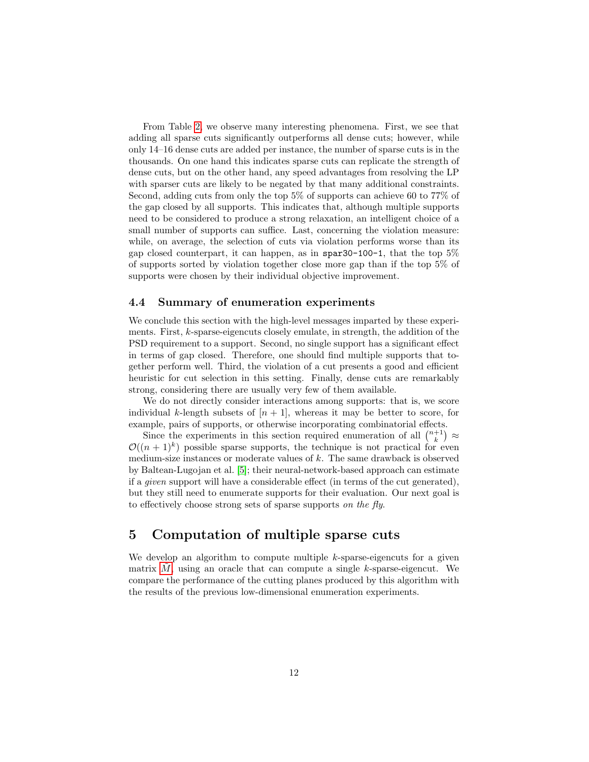From Table [2,](#page-10-1) we observe many interesting phenomena. First, we see that adding all sparse cuts significantly outperforms all dense cuts; however, while only 14–16 dense cuts are added per instance, the number of sparse cuts is in the thousands. On one hand this indicates sparse cuts can replicate the strength of dense cuts, but on the other hand, any speed advantages from resolving the LP with sparser cuts are likely to be negated by that many additional constraints. Second, adding cuts from only the top 5% of supports can achieve 60 to 77% of the gap closed by all supports. This indicates that, although multiple supports need to be considered to produce a strong relaxation, an intelligent choice of a small number of supports can suffice. Last, concerning the violation measure: while, on average, the selection of cuts via violation performs worse than its gap closed counterpart, it can happen, as in spar30-100-1, that the top 5% of supports sorted by violation together close more gap than if the top 5% of supports were chosen by their individual objective improvement.

### 4.4 Summary of enumeration experiments

We conclude this section with the high-level messages imparted by these experiments. First, k-sparse-eigencuts closely emulate, in strength, the addition of the PSD requirement to a support. Second, no single support has a significant effect in terms of gap closed. Therefore, one should find multiple supports that together perform well. Third, the violation of a cut presents a good and efficient heuristic for cut selection in this setting. Finally, dense cuts are remarkably strong, considering there are usually very few of them available.

We do not directly consider interactions among supports: that is, we score individual k-length subsets of  $[n + 1]$ , whereas it may be better to score, for example, pairs of supports, or otherwise incorporating combinatorial effects.

Since the experiments in this section required enumeration of all  $\binom{n+1}{k} \approx$  $\mathcal{O}((n+1)^k)$  possible sparse supports, the technique is not practical for even medium-size instances or moderate values of k. The same drawback is observed by Baltean-Lugojan et al. [\[5\]](#page-26-3); their neural-network-based approach can estimate if a given support will have a considerable effect (in terms of the cut generated), but they still need to enumerate supports for their evaluation. Our next goal is to effectively choose strong sets of sparse supports on the fly.

# 5 Computation of multiple sparse cuts

We develop an algorithm to compute multiple  $k$ -sparse-eigencuts for a given matrix  $M$ , using an oracle that can compute a single k-sparse-eigencut. We compare the performance of the cutting planes produced by this algorithm with the results of the previous low-dimensional enumeration experiments.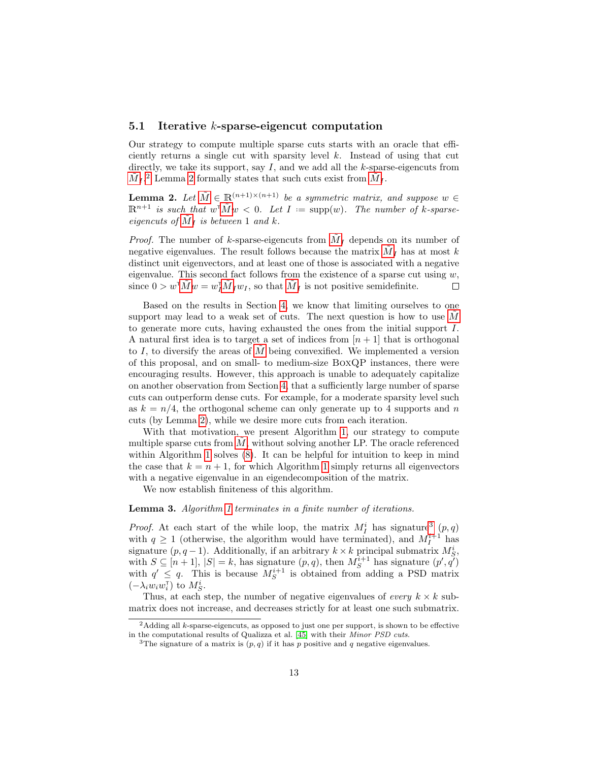### 5.1 Iterative k-sparse-eigencut computation

Our strategy to compute multiple sparse cuts starts with an oracle that efficiently returns a single cut with sparsity level  $k$ . Instead of using that cut directly, we take its support, say  $I$ , and we add all the k-sparse-eigencuts from  $\tilde{M}_I$  $\tilde{M}_I$  $\tilde{M}_I$ <sup>[2](#page-12-1)</sup> Lemma [2](#page-12-2) formally states that such cuts exist from  $\tilde{M}_I$ .

<span id="page-12-2"></span>**Lemma 2.** Let  $\tilde{M} \in \mathbb{R}^{(n+1)\times(n+1)}$  $\tilde{M} \in \mathbb{R}^{(n+1)\times(n+1)}$  $\tilde{M} \in \mathbb{R}^{(n+1)\times(n+1)}$  be a symmetric matrix, and suppose  $w \in$  $\mathbb{R}^{n+1}$  is such that  $w^{\mathsf{T}} \tilde{M} w < 0$ . Let  $I := \text{supp}(w)$ . The number of k-sparseeigencuts of  $\tilde{M}_I$  $\tilde{M}_I$  $\tilde{M}_I$  is between 1 and k.

*Proof.* The number of k-sparse-eigencuts from  $\tilde{M}_I$  $\tilde{M}_I$  $\tilde{M}_I$  depends on its number of negative eigenvalues. The result follows because the matrix  $\tilde{M}_I$  $\tilde{M}_I$  $\tilde{M}_I$  has at most k distinct unit eigenvectors, and at least one of those is associated with a negative eigenvalue. This second fact follows from the existence of a sparse cut using  $w$ , since  $0 > w^{\mathsf{T}} \tilde{M} w = w_I^{\mathsf{T}} \tilde{M}_I w_I$  $0 > w^{\mathsf{T}} \tilde{M} w = w_I^{\mathsf{T}} \tilde{M}_I w_I$  $0 > w^{\mathsf{T}} \tilde{M} w = w_I^{\mathsf{T}} \tilde{M}_I w_I$ , so that  $\tilde{M}_I$  is not positive semidefinite.  $\Box$ 

Based on the results in Section [4,](#page-7-0) we know that limiting ourselves to one support may lead to a weak set of cuts. The next question is how to use  $M$ to generate more cuts, having exhausted the ones from the initial support I. A natural first idea is to target a set of indices from  $[n+1]$  that is orthogonal to I, to diversify the areas of  $\tilde{M}$  $\tilde{M}$  $\tilde{M}$  being convexified. We implemented a version of this proposal, and on small- to medium-size BoxQP instances, there were encouraging results. However, this approach is unable to adequately capitalize on another observation from Section [4,](#page-7-0) that a sufficiently large number of sparse cuts can outperform dense cuts. For example, for a moderate sparsity level such as  $k = n/4$ , the orthogonal scheme can only generate up to 4 supports and n cuts (by Lemma [2\)](#page-12-2), while we desire more cuts from each iteration.

With that motivation, we present Algorithm [1,](#page-12-0) our strategy to compute multiple sparse cuts from  $\tilde{M}$  $\tilde{M}$  $\tilde{M}$ , without solving another LP. The oracle referenced within Algorithm [1](#page-12-0) solves  $(8)$ . It can be helpful for intuition to keep in mind the case that  $k = n + 1$  $k = n + 1$ , for which Algorithm 1 simply returns all eigenvectors with a negative eigenvalue in an eigendecomposition of the matrix.

<span id="page-12-0"></span>We now establish finiteness of this algorithm.

#### Lemma 3. Algorithm [1](#page-12-0) terminates in a finite number of iterations.

*Proof.* At each start of the while loop, the matrix  $M_I^i$  has signature<sup>[3](#page-12-3)</sup>  $(p, q)$ with  $q \ge 1$  (otherwise, the algorithm would have terminated), and  $M_I^{i+1}$  has signature  $(p, q-1)$ . Additionally, if an arbitrary  $k \times k$  principal submatrix  $M_S^i$ , with  $S \subseteq [n+1], |S| = k$ , has signature  $(p, q)$ , then  $M_S^{i+1}$  has signature  $(p', q')$ with  $q' \leq q$ . This is because  $M_S^{i+1}$  is obtained from adding a PSD matrix  $(-\lambda_i w_i w_i^{\intercal})$  to  $M_S^i$ .

Thus, at each step, the number of negative eigenvalues of every  $k \times k$  submatrix does not increase, and decreases strictly for at least one such submatrix.

<span id="page-12-1"></span> $2$ Adding all k-sparse-eigencuts, as opposed to just one per support, is shown to be effective in the computational results of Qualizza et al. [\[45\]](#page-29-6) with their Minor PSD cuts.

<span id="page-12-3"></span><sup>&</sup>lt;sup>3</sup>The signature of a matrix is  $(p, q)$  if it has p positive and q negative eigenvalues.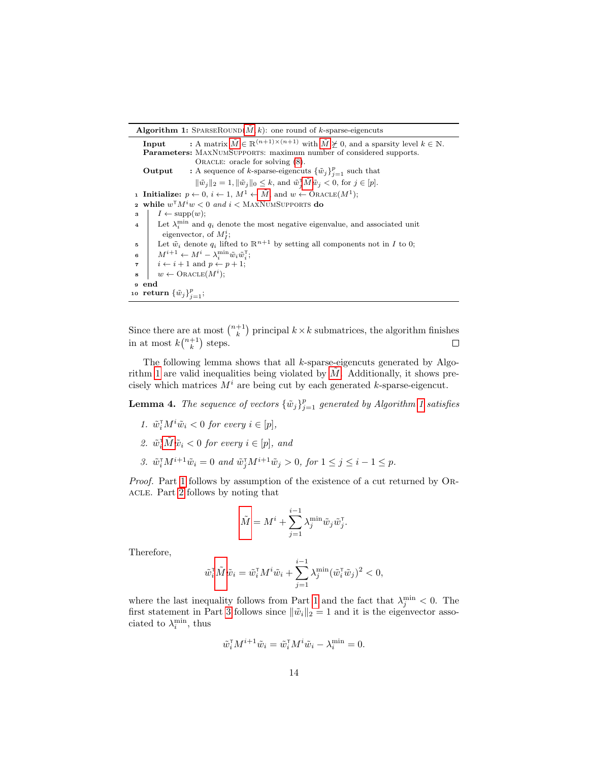**Algorithm 1:** SPARSEROUND( $\tilde{M}, k$ ): one round of k-sparse-eigencuts

**Input** : A matrix  $\tilde{M} \in \mathbb{R}^{(n+1)\times(n+1)}$  $\tilde{M} \in \mathbb{R}^{(n+1)\times(n+1)}$  $\tilde{M} \in \mathbb{R}^{(n+1)\times(n+1)}$  with  $\tilde{M} \not\succeq 0$ , and a sparsity level  $k \in \mathbb{N}$ . Parameters: MAXNUMSUPPORTS: maximum number of considered supports. ORACLE: oracle for solving  $(8)$ . **Output** : A sequence of k-sparse-eigencuts  $\{\tilde{w}_j\}_{j=1}^p$  such that  $\|\tilde{w}_j\|_2 = 1, \|\tilde{w}_j\|_0 \leq k$ , and  $\tilde{w}_j^{\mathsf{T}}\tilde{M}\tilde{w}_j < 0$  $\tilde{w}_j^{\mathsf{T}}\tilde{M}\tilde{w}_j < 0$  $\tilde{w}_j^{\mathsf{T}}\tilde{M}\tilde{w}_j < 0$ , for  $j \in [p]$ . 1 Initialize:  $p \leftarrow 0, i \leftarrow 1, M^1 \leftarrow \tilde{M}$  $p \leftarrow 0, i \leftarrow 1, M^1 \leftarrow \tilde{M}$  $p \leftarrow 0, i \leftarrow 1, M^1 \leftarrow \tilde{M}$ , and  $w \leftarrow \text{ORACLE}(M^1)$ ; 2 while  $w^\mathsf{T} M^i w < 0$  and  $i < \text{MaxNum}$  usepports do  $3 \mid I \leftarrow \text{supp}(w);$ 4 Let  $\lambda_i^{\min}$  and  $q_i$  denote the most negative eigenvalue, and associated unit eigenvector, of  $M_I^i$ ; 5 Let  $\tilde{w}_i$  denote  $q_i$  lifted to  $\mathbb{R}^{n+1}$  by setting all components not in I to 0; 6  $M^{i+1} \leftarrow M^i - \lambda_i^{\min} \tilde{w}_i \tilde{w}_i^{\mathsf{T}};$  $\tau \mid i \leftarrow i+1 \text{ and } p \leftarrow p+1;$  $\mathbf{s} \quad w \leftarrow \text{ORACLE}(M^i);$ <sup>9</sup> end 10 return  $\{\tilde{w}_j\}_{j=1}^p$ ;

Since there are at most  $\binom{n+1}{k}$  principal  $k \times k$  submatrices, the algorithm finishes in at most  $k\binom{n+1}{k}$  steps.

The following lemma shows that all k-sparse-eigencuts generated by Algo-rithm [1](#page-12-0) are valid inequalities being violated by  $\tilde{M}$  $\tilde{M}$  $\tilde{M}$ . Additionally, it shows precisely which matrices  $M<sup>i</sup>$  are being cut by each generated k-sparse-eigencut.

**Lemma 4.** The sequence of vectors  ${\{\tilde{w}_j\}}_{j=1}^p$  generated by Algorithm [1](#page-12-0) satisfies

- <span id="page-13-0"></span>1.  $\tilde{w}_i^{\mathsf{T}} M^i \tilde{w}_i < 0$  for every  $i \in [p],$
- <span id="page-13-1"></span>2.  $\tilde{w}_i^{\dagger} \tilde{M} \tilde{w}_i < 0$  $\tilde{w}_i^{\dagger} \tilde{M} \tilde{w}_i < 0$  $\tilde{w}_i^{\dagger} \tilde{M} \tilde{w}_i < 0$  for every  $i \in [p]$ , and
- <span id="page-13-2"></span>3.  $\tilde{w}_i^{\mathsf{T}} M^{i+1} \tilde{w}_i = 0$  and  $\tilde{w}_j^{\mathsf{T}} M^{i+1} \tilde{w}_j > 0$ , for  $1 \leq j \leq i-1 \leq p$ .

Proof. Part [1](#page-13-0) follows by assumption of the existence of a cut returned by ORacle. Part [2](#page-13-1) follows by noting that

$$
\tilde{M} = M^i + \sum_{j=1}^{i-1} \lambda_j^{\min} \tilde{w}_j \tilde{w}_j^{\mathsf{T}}.
$$

Therefore,

$$
\tilde{w}_i^{\mathsf{T}} \tilde{M} \tilde{w}_i = \tilde{w}_i^{\mathsf{T}} M^i \tilde{w}_i + \sum_{j=1}^{i-1} \lambda_j^{\min} (\tilde{w}_i^{\mathsf{T}} \tilde{w}_j)^2 < 0,
$$

where the last inequality follows from Part [1](#page-13-0) and the fact that  $\lambda_j^{\min} < 0$ . The first statement in Part [3](#page-13-2) follows since  $\|\tilde{w}_i\|_2 = 1$  and it is the eigenvector associated to  $\lambda_i^{\min}$ , thus

$$
\tilde{w}_i^{\mathsf{T}} M^{i+1} \tilde{w}_i = \tilde{w}_i^{\mathsf{T}} M^i \tilde{w}_i - \lambda_i^{\min} = 0.
$$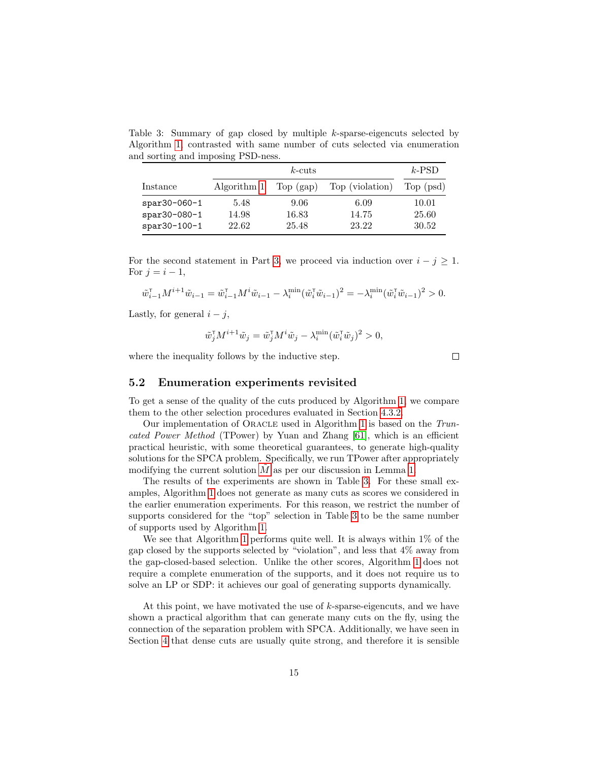<span id="page-14-0"></span>Table 3: Summary of gap closed by multiple k-sparse-eigencuts selected by Algorithm [1,](#page-12-0) contrasted with same number of cuts selected via enumeration and sorting and imposing PSD-ness.

|               |             | $k$ -PSD    |                 |           |
|---------------|-------------|-------------|-----------------|-----------|
| Instance      | Algorithm 1 | Top $(gap)$ | Top (violation) | Top (psd) |
| $spr30-060-1$ | 5.48        | 9.06        | 6.09            | 10.01     |
| $spr30-080-1$ | 14.98       | 16.83       | 14.75           | 25.60     |
| spar30-100-1  | 22.62       | 25.48       | 23.22           | 30.52     |

For the second statement in Part [3,](#page-13-2) we proceed via induction over  $i - j \geq 1$ . For  $i = i - 1$ ,

$$
\tilde{w}_{i-1}^{\mathsf{T}}M^{i+1}\tilde{w}_{i-1}=\tilde{w}_{i-1}^{\mathsf{T}}M^{i}\tilde{w}_{i-1}-\lambda^{\min}_{i}(\tilde{w}_{i}^{\mathsf{T}}\tilde{w}_{i-1})^{2}=-\lambda^{\min}_{i}(\tilde{w}_{i}^{\mathsf{T}}\tilde{w}_{i-1})^{2}>0.
$$

Lastly, for general  $i - j$ ,

$$
\tilde{w}_j^{\mathsf{T}} M^{i+1} \tilde{w}_j = \tilde{w}_j^{\mathsf{T}} M^i \tilde{w}_j - \lambda_i^{\min} (\tilde{w}_i^{\mathsf{T}} \tilde{w}_j)^2 > 0,
$$

 $\Box$ 

where the inequality follows by the inductive step.

<span id="page-14-1"></span>5.2 Enumeration experiments revisited

To get a sense of the quality of the cuts produced by Algorithm [1,](#page-12-0) we compare them to the other selection procedures evaluated in Section [4.3.2.](#page-10-0)

Our implementation of Oracle used in Algorithm [1](#page-12-0) is based on the Truncated Power Method (TPower) by Yuan and Zhang [\[61\]](#page-30-4), which is an efficient practical heuristic, with some theoretical guarantees, to generate high-quality solutions for the SPCA problem. Specifically, we run TPower after appropriately modifying the current solution  $\tilde{M}$  $\tilde{M}$  $\tilde{M}$  as per our discussion in Lemma [1.](#page-6-1)

The results of the experiments are shown in Table [3.](#page-14-0) For these small examples, Algorithm [1](#page-12-0) does not generate as many cuts as scores we considered in the earlier enumeration experiments. For this reason, we restrict the number of supports considered for the "top" selection in Table [3](#page-14-0) to be the same number of supports used by Algorithm [1.](#page-12-0)

We see that Algorithm [1](#page-12-0) performs quite well. It is always within  $1\%$  of the gap closed by the supports selected by "violation", and less that 4% away from the gap-closed-based selection. Unlike the other scores, Algorithm [1](#page-12-0) does not require a complete enumeration of the supports, and it does not require us to solve an LP or SDP: it achieves our goal of generating supports dynamically.

At this point, we have motivated the use of  $k$ -sparse-eigencuts, and we have shown a practical algorithm that can generate many cuts on the fly, using the connection of the separation problem with SPCA. Additionally, we have seen in Section [4](#page-7-0) that dense cuts are usually quite strong, and therefore it is sensible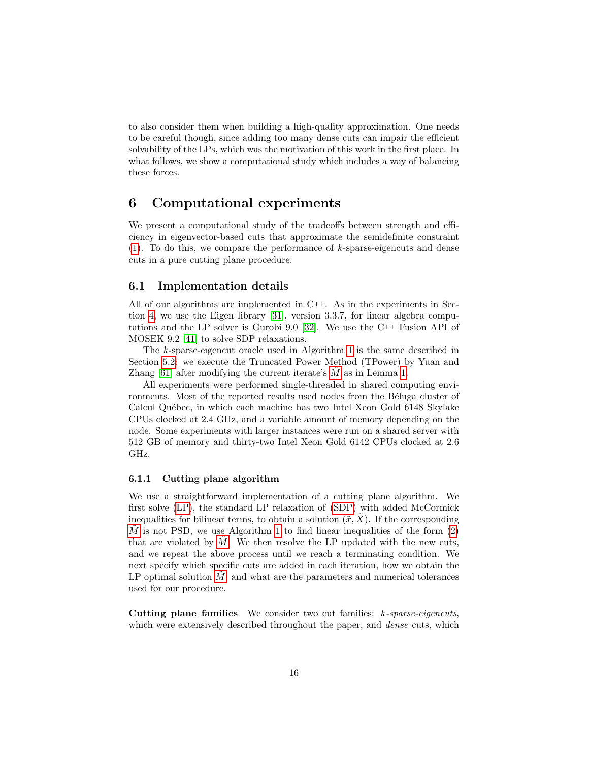to also consider them when building a high-quality approximation. One needs to be careful though, since adding too many dense cuts can impair the efficient solvability of the LPs, which was the motivation of this work in the first place. In what follows, we show a computational study which includes a way of balancing these forces.

# <span id="page-15-0"></span>6 Computational experiments

We present a computational study of the tradeoffs between strength and efficiency in eigenvector-based cuts that approximate the semidefinite constraint  $(1)$ . To do this, we compare the performance of k-sparse-eigencuts and dense cuts in a pure cutting plane procedure.

### 6.1 Implementation details

All of our algorithms are implemented in C++. As in the experiments in Section [4,](#page-7-0) we use the Eigen library [\[31\]](#page-28-12), version 3.3.7, for linear algebra computations and the LP solver is Gurobi 9.0 [\[32\]](#page-28-13). We use the C++ Fusion API of MOSEK 9.2 [\[41\]](#page-28-14) to solve SDP relaxations.

The k-sparse-eigencut oracle used in Algorithm [1](#page-12-0) is the same described in Section [5.2:](#page-14-1) we execute the Truncated Power Method (TPower) by Yuan and Zhang  $[61]$  after modifying the current iterate's [M](#page-2-3) as in Lemma [1.](#page-6-1)

All experiments were performed single-threaded in shared computing environments. Most of the reported results used nodes from the Béluga cluster of Calcul Québec, in which each machine has two Intel Xeon Gold 6148 Skylake CPUs clocked at 2.4 GHz, and a variable amount of memory depending on the node. Some experiments with larger instances were run on a shared server with 512 GB of memory and thirty-two Intel Xeon Gold 6142 CPUs clocked at 2.6 GHz.

#### 6.1.1 Cutting plane algorithm

We use a straightforward implementation of a cutting plane algorithm. We first solve [\(LP\)](#page-2-5), the standard LP relaxation of [\(SDP\)](#page-2-0) with added McCormick inequalities for bilinear terms, to obtain a solution  $(\tilde{x}, \tilde{X})$ . If the corresponding [M](#page-2-3) is not PSD, we use Algorithm [1](#page-12-0) to find linear inequalities of the form  $(2)$ that are violated by  $M$ . We then resolve the LP updated with the new cuts, and we repeat the above process until we reach a terminating condition. We next specify which specific cuts are added in each iteration, how we obtain the  $LP$  optimal solution  $M$ , and what are the parameters and numerical tolerances used for our procedure.

Cutting plane families We consider two cut families: k-sparse-eigencuts, which were extensively described throughout the paper, and *dense* cuts, which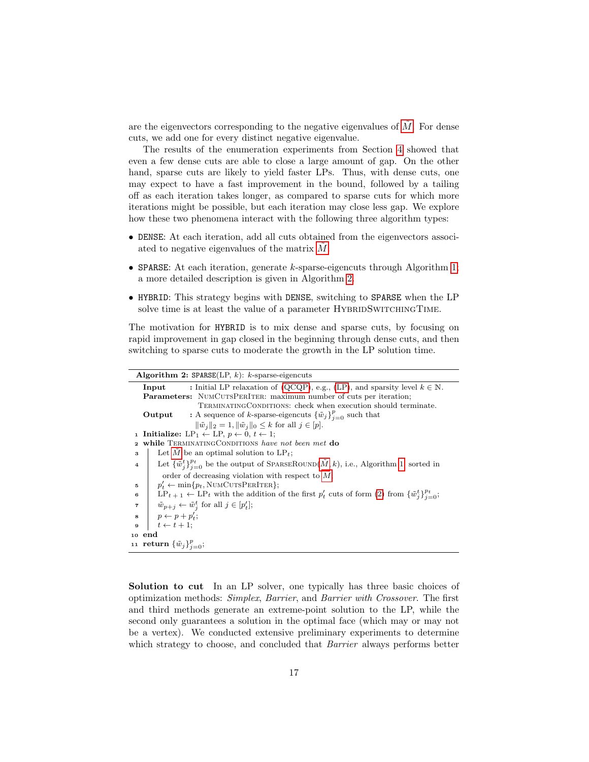are the eigenvectors corresponding to the negative eigenvalues of  $\tilde{M}$  $\tilde{M}$  $\tilde{M}$ . For dense cuts, we add one for every distinct negative eigenvalue.

The results of the enumeration experiments from Section [4](#page-7-0) showed that even a few dense cuts are able to close a large amount of gap. On the other hand, sparse cuts are likely to yield faster LPs. Thus, with dense cuts, one may expect to have a fast improvement in the bound, followed by a tailing off as each iteration takes longer, as compared to sparse cuts for which more iterations might be possible, but each iteration may close less gap. We explore how these two phenomena interact with the following three algorithm types:

- DENSE: At each iteration, add all cuts obtained from the eigenvectors associated to negative eigenvalues of the matrix  $M$ .
- SPARSE: At each iteration, generate  $k$ -sparse-eigencuts through Algorithm [1;](#page-12-0) a more detailed description is given in Algorithm [2.](#page-16-0)
- HYBRID: This strategy begins with DENSE, switching to SPARSE when the LP solve time is at least the value of a parameter HYBRIDSWITCHINGTIME.

The motivation for HYBRID is to mix dense and sparse cuts, by focusing on rapid improvement in gap closed in the beginning through dense cuts, and then switching to sparse cuts to moderate the growth in the LP solution time.

<span id="page-16-0"></span>

| Algorithm 2: $SPARSE(LP, k): k-sparse-eigencuts$                                                                                            |
|---------------------------------------------------------------------------------------------------------------------------------------------|
| : Initial LP relaxation of (QCQP), e.g., (LP), and sparsity level $k \in \mathbb{N}$ .<br>Input                                             |
| <b>Parameters:</b> NUMCUTSPERITER: maximum number of cuts per iteration;                                                                    |
| TERMINATING CONDITIONS: check when execution should terminate.                                                                              |
| <b>Output</b> : A sequence of k-sparse-eigencuts $\{\tilde{w}_j\}_{j=0}^p$ such that                                                        |
| $\ \tilde{w}_i\ _2 = 1, \ \tilde{w}_i\ _0 \leq k$ for all $j \in [p]$ .                                                                     |
| 1 Initialize: LP <sub>1</sub> $\leftarrow$ LP, $p \leftarrow 0, t \leftarrow 1$ ;                                                           |
| while TERMINATINGCONDITIONS have not been met do<br>$\mathbf{2}$                                                                            |
| Let M be an optimal solution to $LP_t$ ;<br>3                                                                                               |
| Let $\{\tilde{w}_i^t\}_{i=0}^{p_t}$ be the output of SPARSEROUND $(\tilde{M}, k)$ , i.e., Algorithm 1, sorted in<br>$\overline{\mathbf{4}}$ |
| order of decreasing violation with respect to $M$ ;                                                                                         |
| $p'_{t} \leftarrow \min\{p_{t}, \text{NUMCUTsPERITER}\};$<br>5                                                                              |
| $LP_{t+1} \leftarrow LP_t$ with the addition of the first $p'_t$ cuts of form (2) from $\{\tilde{w}_i^t\}_{i=0}^{p_t}$ ;<br>6               |
| $\tilde{w}_{p+j} \leftarrow \tilde{w}_j^t$ for all $j \in [p'_t]$ ;<br>$\overline{\phantom{a}}$                                             |
| $\begin{array}{c c} \mathbf{s} & p \leftarrow p + p'_t; \\ \mathbf{s} & t \leftarrow t + 1; \end{array}$                                    |
|                                                                                                                                             |
| 10 end                                                                                                                                      |
| 11 <b>return</b> ${\{\tilde{w}_j\}}_{i=0}^p$ ;                                                                                              |

Solution to cut In an LP solver, one typically has three basic choices of optimization methods: Simplex, Barrier, and Barrier with Crossover. The first and third methods generate an extreme-point solution to the LP, while the second only guarantees a solution in the optimal face (which may or may not be a vertex). We conducted extensive preliminary experiments to determine which strategy to choose, and concluded that *Barrier* always performs better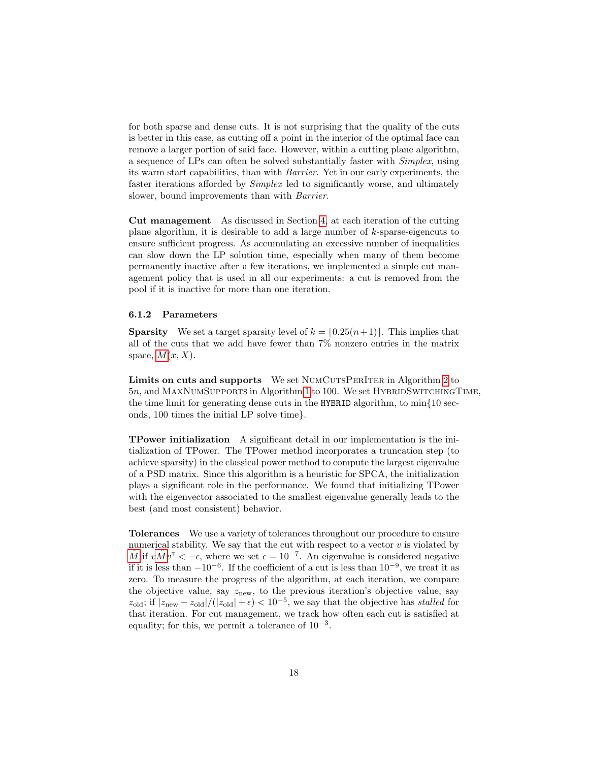for both sparse and dense cuts. It is not surprising that the quality of the cuts is better in this case, as cutting off a point in the interior of the optimal face can remove a larger portion of said face. However, within a cutting plane algorithm, a sequence of LPs can often be solved substantially faster with Simplex, using its warm start capabilities, than with Barrier. Yet in our early experiments, the faster iterations afforded by Simplex led to significantly worse, and ultimately slower, bound improvements than with Barrier.

Cut management As discussed in Section [4,](#page-7-0) at each iteration of the cutting plane algorithm, it is desirable to add a large number of  $k$ -sparse-eigencuts to ensure sufficient progress. As accumulating an excessive number of inequalities can slow down the LP solution time, especially when many of them become permanently inactive after a few iterations, we implemented a simple cut management policy that is used in all our experiments: a cut is removed from the pool if it is inactive for more than one iteration.

#### 6.1.2 Parameters

**Sparsity** We set a target sparsity level of  $k = \lfloor 0.25(n+1) \rfloor$ . This implies that all of the cuts that we add have fewer than 7% nonzero entries in the matrix space,  $M(x, X)$  $M(x, X)$ .

Limits on cuts and supports We set NUMCUTSPERITER in Algorithm [2](#page-16-0) to 5n, and MAXNUMSUPPORTS in Algorithm [1](#page-12-0) to 100. We set HYBRIDSWITCHINGTIME, the time limit for generating dense cuts in the HYBRID algorithm, to  $\min\{10 \text{ sec-}$ onds, 100 times the initial LP solve time}.

TPower initialization A significant detail in our implementation is the initialization of TPower. The TPower method incorporates a truncation step (to achieve sparsity) in the classical power method to compute the largest eigenvalue of a PSD matrix. Since this algorithm is a heuristic for SPCA, the initialization plays a significant role in the performance. We found that initializing TPower with the eigenvector associated to the smallest eigenvalue generally leads to the best (and most consistent) behavior.

Tolerances We use a variety of tolerances throughout our procedure to ensure numerical stability. We say that the cut with respect to a vector  $v$  is violated by  $\tilde{M}$  $\tilde{M}$  $\tilde{M}$  if  $v\tilde{M}v^{\intercal} < -\epsilon$ , where we set  $\epsilon = 10^{-7}$ . An eigenvalue is considered negative if it is less than  $-10^{-6}$ . If the coefficient of a cut is less than  $10^{-9}$ , we treat it as zero. To measure the progress of the algorithm, at each iteration, we compare the objective value, say  $z_{\text{new}}$ , to the previous iteration's objective value, say  $z_{\text{old}}$ ; if  $|z_{\text{new}} - z_{\text{old}}|/(|z_{\text{old}}| + \epsilon) < 10^{-5}$ , we say that the objective has stalled for that iteration. For cut management, we track how often each cut is satisfied at equality; for this, we permit a tolerance of  $10^{-3}$ .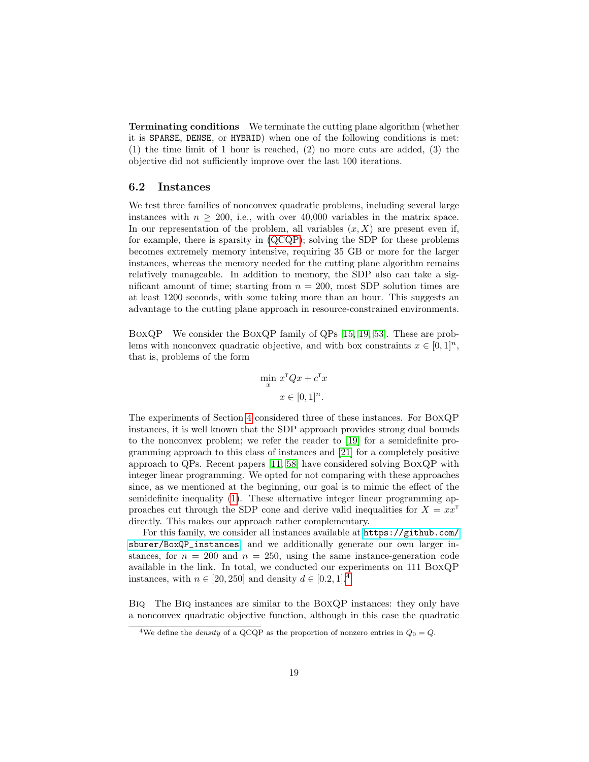Terminating conditions We terminate the cutting plane algorithm (whether it is SPARSE, DENSE, or HYBRID) when one of the following conditions is met: (1) the time limit of 1 hour is reached, (2) no more cuts are added, (3) the objective did not sufficiently improve over the last 100 iterations.

## 6.2 Instances

We test three families of nonconvex quadratic problems, including several large instances with  $n \geq 200$ , i.e., with over 40,000 variables in the matrix space. In our representation of the problem, all variables  $(x, X)$  are present even if, for example, there is sparsity in [\(QCQP\)](#page-1-0); solving the SDP for these problems becomes extremely memory intensive, requiring 35 GB or more for the larger instances, whereas the memory needed for the cutting plane algorithm remains relatively manageable. In addition to memory, the SDP also can take a significant amount of time; starting from  $n = 200$ , most SDP solution times are at least 1200 seconds, with some taking more than an hour. This suggests an advantage to the cutting plane approach in resource-constrained environments.

BoxQP We consider the BoxQP family of QPs [\[15,](#page-27-12) [19,](#page-27-4) [53\]](#page-29-13). These are problems with nonconvex quadratic objective, and with box constraints  $x \in [0, 1]^n$ , that is, problems of the form

$$
\min_{x} x^{\mathsf{T}} Q x + c^{\mathsf{T}} x
$$

$$
x \in [0, 1]^n.
$$

The experiments of Section [4](#page-7-0) considered three of these instances. For BoxQP instances, it is well known that the SDP approach provides strong dual bounds to the nonconvex problem; we refer the reader to [\[19\]](#page-27-4) for a semidefinite programming approach to this class of instances and [\[21\]](#page-27-13) for a completely positive approach to QPs. Recent papers [\[11,](#page-26-7) [58\]](#page-30-5) have considered solving BoxQP with integer linear programming. We opted for not comparing with these approaches since, as we mentioned at the beginning, our goal is to mimic the effect of the semidefinite inequality [\(1\)](#page-1-1). These alternative integer linear programming approaches cut through the SDP cone and derive valid inequalities for  $X = xx^T$ directly. This makes our approach rather complementary.

For this family, we consider all instances available at [https://github.com/](https://github.com/sburer/BoxQP_instances) [sburer/BoxQP\\_instances](https://github.com/sburer/BoxQP_instances), and we additionally generate our own larger instances, for  $n = 200$  and  $n = 250$ , using the same instance-generation code available in the link. In total, we conducted our experiments on 111 BoxQP instances, with  $n \in [20, 250]$  and density  $d \in [0.2, 1].<sup>4</sup>$  $d \in [0.2, 1].<sup>4</sup>$  $d \in [0.2, 1].<sup>4</sup>$ 

Biq The Biq instances are similar to the BoxQP instances: they only have a nonconvex quadratic objective function, although in this case the quadratic

<span id="page-18-0"></span><sup>&</sup>lt;sup>4</sup>We define the *density* of a QCQP as the proportion of nonzero entries in  $Q_0 = Q$ .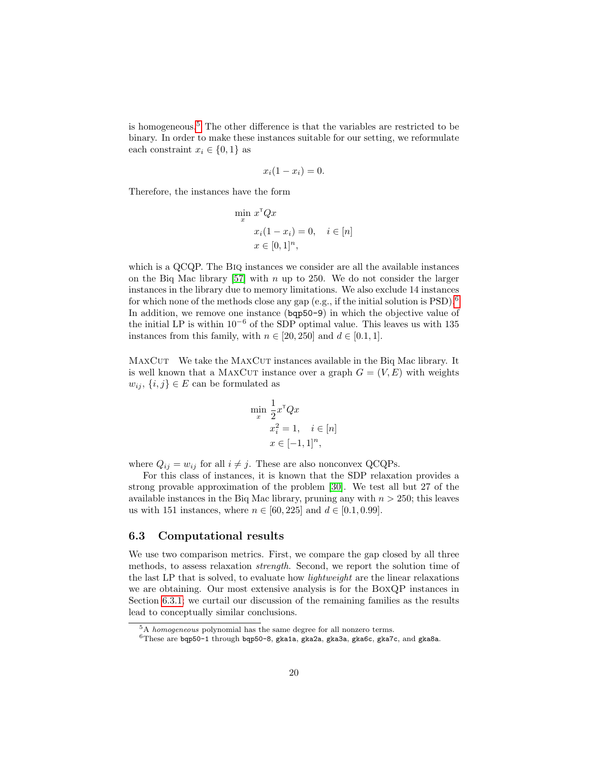is homogeneous.[5](#page-19-0) The other difference is that the variables are restricted to be binary. In order to make these instances suitable for our setting, we reformulate each constraint  $x_i \in \{0, 1\}$  as

$$
x_i(1-x_i)=0.
$$

Therefore, the instances have the form

$$
\min_{x} x^{\mathsf{T}} Q x
$$

$$
x_i (1 - x_i) = 0, \quad i \in [n]
$$

$$
x \in [0, 1]^n,
$$

which is a QCQP. The Biq instances we consider are all the available instances on the Biq Mac library  $[57]$  with n up to 250. We do not consider the larger instances in the library due to memory limitations. We also exclude 14 instances for which none of the methods close any gap (e.g., if the initial solution is  $PSD$ ).<sup>[6](#page-19-1)</sup> In addition, we remove one instance (bqp50-9) in which the objective value of the initial LP is within  $10^{-6}$  of the SDP optimal value. This leaves us with 135 instances from this family, with  $n \in [20, 250]$  and  $d \in [0.1, 1]$ .

MAXCUT We take the MAXCUT instances available in the Biq Mac library. It is well known that a MAXCUT instance over a graph  $G = (V, E)$  with weights  $w_{ij}, \{i, j\} \in E$  can be formulated as

$$
\min_{x} \frac{1}{2} x^{\mathsf{T}} Q x
$$

$$
x_i^2 = 1, \quad i \in [n]
$$

$$
x \in [-1, 1]^n,
$$

where  $Q_{ij} = w_{ij}$  for all  $i \neq j$ . These are also nonconvex QCQPs.

For this class of instances, it is known that the SDP relaxation provides a strong provable approximation of the problem [\[30\]](#page-28-2). We test all but 27 of the available instances in the Biq Mac library, pruning any with  $n > 250$ ; this leaves us with 151 instances, where  $n \in [60, 225]$  and  $d \in [0.1, 0.99]$ .

### 6.3 Computational results

We use two comparison metrics. First, we compare the gap closed by all three methods, to assess relaxation strength. Second, we report the solution time of the last LP that is solved, to evaluate how lightweight are the linear relaxations we are obtaining. Our most extensive analysis is for the BoxQP instances in Section [6.3.1;](#page-20-0) we curtail our discussion of the remaining families as the results lead to conceptually similar conclusions.

<span id="page-19-0"></span> $5A$  *homogeneous* polynomial has the same degree for all nonzero terms.

<span id="page-19-1"></span> $^6\rm{These}$  are bqp50-1 through bqp50-8, gka1a, gka2a, gka3a, gka6c, gka7c, and gka8a.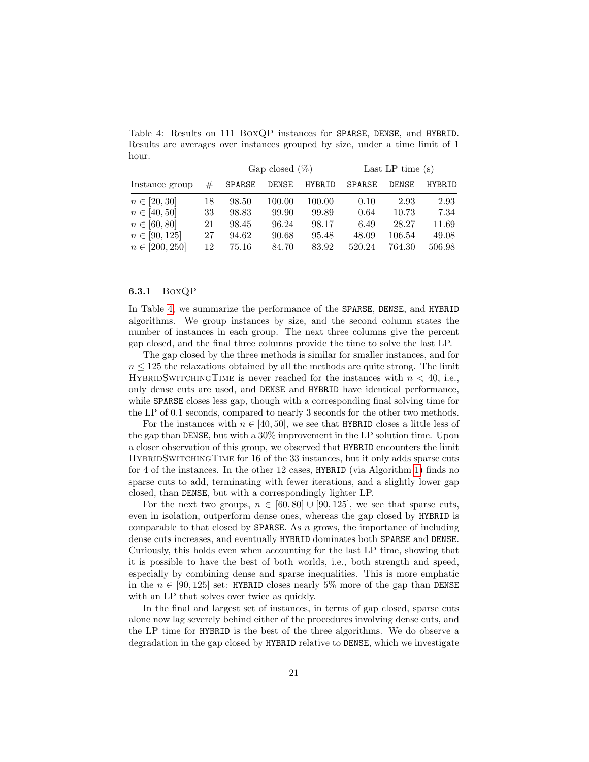|                    |    | Gap closed $(\%)$ |        |        | Last LP time $(s)$ |              |        |  |
|--------------------|----|-------------------|--------|--------|--------------------|--------------|--------|--|
| Instance group     | #  | <b>SPARSE</b>     | DENSE  | HYBRID | <b>SPARSE</b>      | <b>DENSE</b> | HYBRID |  |
| $n \in [20, 30]$   | 18 | 98.50             | 100.00 | 100.00 | 0.10               | 2.93         | 2.93   |  |
| $n \in [40, 50]$   | 33 | 98.83             | 99.90  | 99.89  | 0.64               | 10.73        | 7.34   |  |
| $n \in [60, 80]$   | 21 | 98.45             | 96.24  | 98.17  | 6.49               | 28.27        | 11.69  |  |
| $n \in [90, 125]$  | 27 | 94.62             | 90.68  | 95.48  | 48.09              | 106.54       | 49.08  |  |
| $n \in [200, 250]$ | 12 | 75.16             | 84.70  | 83.92  | 520.24             | 764.30       | 506.98 |  |

<span id="page-20-1"></span>Table 4: Results on 111 BoxQP instances for SPARSE, DENSE, and HYBRID. Results are averages over instances grouped by size, under a time limit of 1 hour.

### <span id="page-20-0"></span>6.3.1 BoxQP

In Table [4,](#page-20-1) we summarize the performance of the SPARSE, DENSE, and HYBRID algorithms. We group instances by size, and the second column states the number of instances in each group. The next three columns give the percent gap closed, and the final three columns provide the time to solve the last LP.

The gap closed by the three methods is similar for smaller instances, and for  $n \leq 125$  the relaxations obtained by all the methods are quite strong. The limit HYBRIDSWITCHINGTIME is never reached for the instances with  $n < 40$ , i.e., only dense cuts are used, and DENSE and HYBRID have identical performance, while SPARSE closes less gap, though with a corresponding final solving time for the LP of 0.1 seconds, compared to nearly 3 seconds for the other two methods.

For the instances with  $n \in [40, 50]$ , we see that HYBRID closes a little less of the gap than DENSE, but with a 30% improvement in the LP solution time. Upon a closer observation of this group, we observed that HYBRID encounters the limit HybridSwitchingTime for 16 of the 33 instances, but it only adds sparse cuts for 4 of the instances. In the other 12 cases, HYBRID (via Algorithm [1\)](#page-12-0) finds no sparse cuts to add, terminating with fewer iterations, and a slightly lower gap closed, than DENSE, but with a correspondingly lighter LP.

For the next two groups,  $n \in [60, 80] \cup [90, 125]$ , we see that sparse cuts, even in isolation, outperform dense ones, whereas the gap closed by HYBRID is comparable to that closed by **SPARSE**. As  $n$  grows, the importance of including dense cuts increases, and eventually HYBRID dominates both SPARSE and DENSE. Curiously, this holds even when accounting for the last LP time, showing that it is possible to have the best of both worlds, i.e., both strength and speed, especially by combining dense and sparse inequalities. This is more emphatic in the  $n \in [90, 125]$  set: HYBRID closes nearly 5% more of the gap than DENSE with an LP that solves over twice as quickly.

In the final and largest set of instances, in terms of gap closed, sparse cuts alone now lag severely behind either of the procedures involving dense cuts, and the LP time for HYBRID is the best of the three algorithms. We do observe a degradation in the gap closed by HYBRID relative to DENSE, which we investigate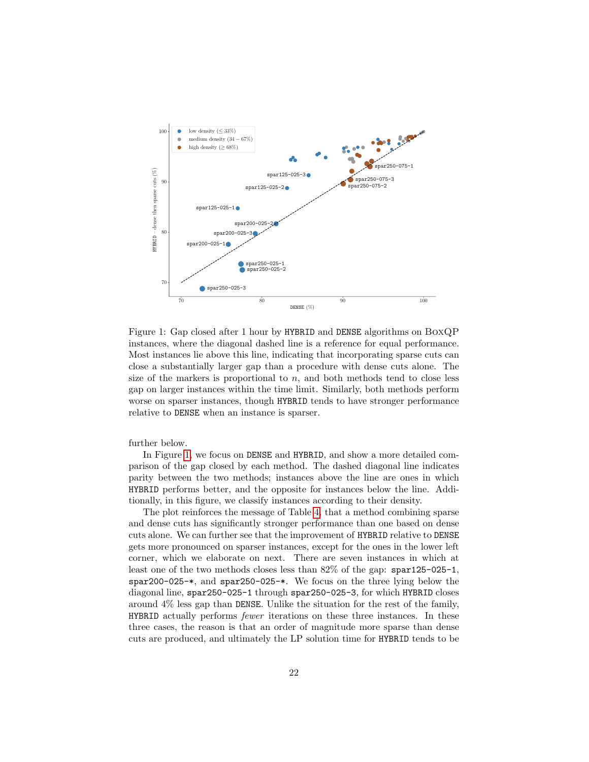

<span id="page-21-0"></span>Figure 1: Gap closed after 1 hour by HYBRID and DENSE algorithms on BoxQP instances, where the diagonal dashed line is a reference for equal performance. Most instances lie above this line, indicating that incorporating sparse cuts can close a substantially larger gap than a procedure with dense cuts alone. The size of the markers is proportional to  $n$ , and both methods tend to close less gap on larger instances within the time limit. Similarly, both methods perform worse on sparser instances, though HYBRID tends to have stronger performance relative to DENSE when an instance is sparser.

further below.

In Figure [1,](#page-21-0) we focus on DENSE and HYBRID, and show a more detailed comparison of the gap closed by each method. The dashed diagonal line indicates parity between the two methods; instances above the line are ones in which HYBRID performs better, and the opposite for instances below the line. Additionally, in this figure, we classify instances according to their density.

The plot reinforces the message of Table [4,](#page-20-1) that a method combining sparse and dense cuts has significantly stronger performance than one based on dense cuts alone. We can further see that the improvement of HYBRID relative to DENSE gets more pronounced on sparser instances, except for the ones in the lower left corner, which we elaborate on next. There are seven instances in which at least one of the two methods closes less than 82% of the gap: spar125-025-1, spar200-025-\*, and spar250-025-\*. We focus on the three lying below the diagonal line, spar250-025-1 through spar250-025-3, for which HYBRID closes around 4% less gap than DENSE. Unlike the situation for the rest of the family, HYBRID actually performs fewer iterations on these three instances. In these three cases, the reason is that an order of magnitude more sparse than dense cuts are produced, and ultimately the LP solution time for HYBRID tends to be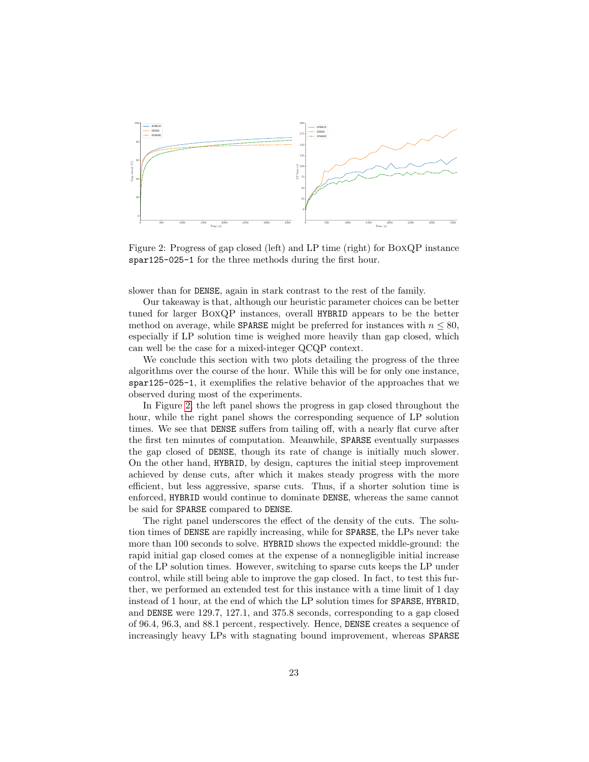

<span id="page-22-0"></span>Figure 2: Progress of gap closed (left) and LP time (right) for BoxQP instance spar125-025-1 for the three methods during the first hour.

slower than for DENSE, again in stark contrast to the rest of the family.

Our takeaway is that, although our heuristic parameter choices can be better tuned for larger BoxQP instances, overall HYBRID appears to be the better method on average, while SPARSE might be preferred for instances with  $n \leq 80$ , especially if LP solution time is weighed more heavily than gap closed, which can well be the case for a mixed-integer QCQP context.

We conclude this section with two plots detailing the progress of the three algorithms over the course of the hour. While this will be for only one instance, spar125-025-1, it exemplifies the relative behavior of the approaches that we observed during most of the experiments.

In Figure [2,](#page-22-0) the left panel shows the progress in gap closed throughout the hour, while the right panel shows the corresponding sequence of LP solution times. We see that DENSE suffers from tailing off, with a nearly flat curve after the first ten minutes of computation. Meanwhile, SPARSE eventually surpasses the gap closed of DENSE, though its rate of change is initially much slower. On the other hand, HYBRID, by design, captures the initial steep improvement achieved by dense cuts, after which it makes steady progress with the more efficient, but less aggressive, sparse cuts. Thus, if a shorter solution time is enforced, HYBRID would continue to dominate DENSE, whereas the same cannot be said for SPARSE compared to DENSE.

The right panel underscores the effect of the density of the cuts. The solution times of DENSE are rapidly increasing, while for SPARSE, the LPs never take more than 100 seconds to solve. HYBRID shows the expected middle-ground: the rapid initial gap closed comes at the expense of a nonnegligible initial increase of the LP solution times. However, switching to sparse cuts keeps the LP under control, while still being able to improve the gap closed. In fact, to test this further, we performed an extended test for this instance with a time limit of 1 day instead of 1 hour, at the end of which the LP solution times for SPARSE, HYBRID, and DENSE were 129.7, 127.1, and 375.8 seconds, corresponding to a gap closed of 96.4, 96.3, and 88.1 percent, respectively. Hence, DENSE creates a sequence of increasingly heavy LPs with stagnating bound improvement, whereas SPARSE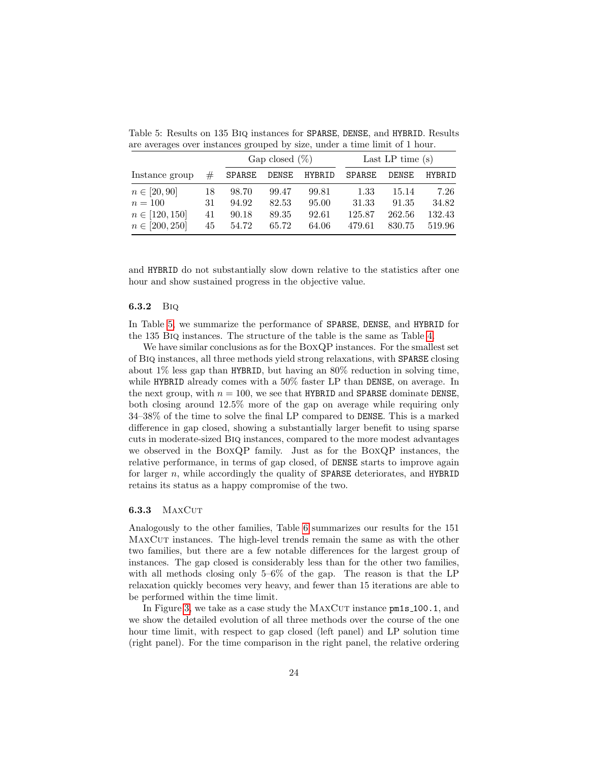|                    |    | Gap closed $(\%)$ |       |        | Last LP time $(s)$ |              |               |  |
|--------------------|----|-------------------|-------|--------|--------------------|--------------|---------------|--|
| Instance group     | #  | SPARSE            | DENSE | HYBRID | SPARSE             | <b>DENSE</b> | <b>HYBRID</b> |  |
| $n \in [20, 90]$   | 18 | 98.70             | 99.47 | 99.81  | 1.33               | 15.14        | 7.26          |  |
| $n=100$            | 31 | 94.92             | 82.53 | 95.00  | 31.33              | 91.35        | 34.82         |  |
| $n \in [120, 150]$ | 41 | 90.18             | 89.35 | 92.61  | 125.87             | 262.56       | 132.43        |  |
| $n \in [200, 250]$ | 45 | 54.72             | 65.72 | 64.06  | 479.61             | 830.75       | 519.96        |  |

<span id="page-23-0"></span>Table 5: Results on 135 Biq instances for SPARSE, DENSE, and HYBRID. Results are averages over instances grouped by size, under a time limit of 1 hour.

and HYBRID do not substantially slow down relative to the statistics after one hour and show sustained progress in the objective value.

#### 6.3.2 Biq

In Table [5,](#page-23-0) we summarize the performance of SPARSE, DENSE, and HYBRID for the 135 Biq instances. The structure of the table is the same as Table [4.](#page-20-1)

We have similar conclusions as for the BoxQP instances. For the smallest set of Biq instances, all three methods yield strong relaxations, with SPARSE closing about 1% less gap than HYBRID, but having an 80% reduction in solving time, while HYBRID already comes with a 50% faster LP than DENSE, on average. In the next group, with  $n = 100$ , we see that HYBRID and SPARSE dominate DENSE, both closing around 12.5% more of the gap on average while requiring only 34–38% of the time to solve the final LP compared to DENSE. This is a marked difference in gap closed, showing a substantially larger benefit to using sparse cuts in moderate-sized Biq instances, compared to the more modest advantages we observed in the BoxQP family. Just as for the BoxQP instances, the relative performance, in terms of gap closed, of DENSE starts to improve again for larger  $n$ , while accordingly the quality of **SPARSE** deteriorates, and **HYBRID** retains its status as a happy compromise of the two.

#### **6.3.3** MAXCUT

Analogously to the other families, Table [6](#page-24-0) summarizes our results for the 151 MaxCut instances. The high-level trends remain the same as with the other two families, but there are a few notable differences for the largest group of instances. The gap closed is considerably less than for the other two families, with all methods closing only 5–6% of the gap. The reason is that the LP relaxation quickly becomes very heavy, and fewer than 15 iterations are able to be performed within the time limit.

In Figure [3,](#page-24-1) we take as a case study the MAXCUT instance  $pm1$  s = 100.1, and we show the detailed evolution of all three methods over the course of the one hour time limit, with respect to gap closed (left panel) and LP solution time (right panel). For the time comparison in the right panel, the relative ordering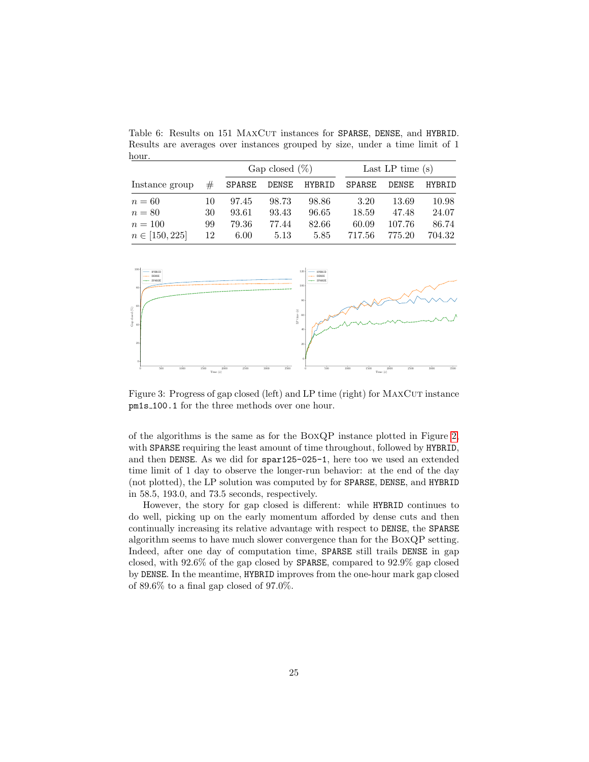<span id="page-24-0"></span>Table 6: Results on 151 MAXCUT instances for SPARSE, DENSE, and HYBRID. Results are averages over instances grouped by size, under a time limit of 1 hour.

|                    |    | Gap closed $(\%)$ |       |        | Last LP time $(s)$ |        |               |  |
|--------------------|----|-------------------|-------|--------|--------------------|--------|---------------|--|
| Instance group     | #  | SPARSE            | DENSE | HYBRID | <b>SPARSE</b>      | DENSE  | <b>HYBRID</b> |  |
| $n=60$             | 10 | 97.45             | 98.73 | 98.86  | 3.20               | 13.69  | 10.98         |  |
| $n = 80$           | 30 | 93.61             | 93.43 | 96.65  | 18.59              | 47.48  | 24.07         |  |
| $n = 100$          | 99 | 79.36             | 77.44 | 82.66  | 60.09              | 107.76 | 86.74         |  |
| $n \in [150, 225]$ | 12 | 6.00              | 5.13  | 5.85   | 717.56             | 775.20 | 704.32        |  |



<span id="page-24-1"></span>Figure 3: Progress of gap closed (left) and LP time (right) for MAXCUT instance pm1s 100.1 for the three methods over one hour.

of the algorithms is the same as for the BoxQP instance plotted in Figure [2,](#page-22-0) with SPARSE requiring the least amount of time throughout, followed by HYBRID, and then DENSE. As we did for spar125-025-1, here too we used an extended time limit of 1 day to observe the longer-run behavior: at the end of the day (not plotted), the LP solution was computed by for SPARSE, DENSE, and HYBRID in 58.5, 193.0, and 73.5 seconds, respectively.

However, the story for gap closed is different: while HYBRID continues to do well, picking up on the early momentum afforded by dense cuts and then continually increasing its relative advantage with respect to DENSE, the SPARSE algorithm seems to have much slower convergence than for the BoxQP setting. Indeed, after one day of computation time, SPARSE still trails DENSE in gap closed, with 92.6% of the gap closed by SPARSE, compared to 92.9% gap closed by DENSE. In the meantime, HYBRID improves from the one-hour mark gap closed of 89.6% to a final gap closed of 97.0%.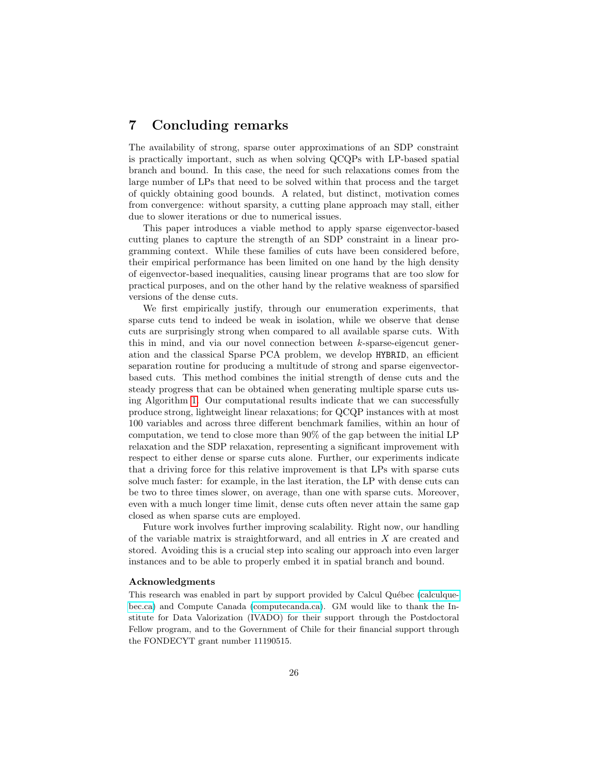# 7 Concluding remarks

The availability of strong, sparse outer approximations of an SDP constraint is practically important, such as when solving QCQPs with LP-based spatial branch and bound. In this case, the need for such relaxations comes from the large number of LPs that need to be solved within that process and the target of quickly obtaining good bounds. A related, but distinct, motivation comes from convergence: without sparsity, a cutting plane approach may stall, either due to slower iterations or due to numerical issues.

This paper introduces a viable method to apply sparse eigenvector-based cutting planes to capture the strength of an SDP constraint in a linear programming context. While these families of cuts have been considered before, their empirical performance has been limited on one hand by the high density of eigenvector-based inequalities, causing linear programs that are too slow for practical purposes, and on the other hand by the relative weakness of sparsified versions of the dense cuts.

We first empirically justify, through our enumeration experiments, that sparse cuts tend to indeed be weak in isolation, while we observe that dense cuts are surprisingly strong when compared to all available sparse cuts. With this in mind, and via our novel connection between k-sparse-eigencut generation and the classical Sparse PCA problem, we develop HYBRID, an efficient separation routine for producing a multitude of strong and sparse eigenvectorbased cuts. This method combines the initial strength of dense cuts and the steady progress that can be obtained when generating multiple sparse cuts using Algorithm [1.](#page-12-0) Our computational results indicate that we can successfully produce strong, lightweight linear relaxations; for QCQP instances with at most 100 variables and across three different benchmark families, within an hour of computation, we tend to close more than 90% of the gap between the initial LP relaxation and the SDP relaxation, representing a significant improvement with respect to either dense or sparse cuts alone. Further, our experiments indicate that a driving force for this relative improvement is that LPs with sparse cuts solve much faster: for example, in the last iteration, the LP with dense cuts can be two to three times slower, on average, than one with sparse cuts. Moreover, even with a much longer time limit, dense cuts often never attain the same gap closed as when sparse cuts are employed.

Future work involves further improving scalability. Right now, our handling of the variable matrix is straightforward, and all entries in X are created and stored. Avoiding this is a crucial step into scaling our approach into even larger instances and to be able to properly embed it in spatial branch and bound.

#### Acknowledgments

This research was enabled in part by support provided by Calcul Québec [\(calculque](www.calculquebec.ca)[bec.ca\)](www.calculquebec.ca) and Compute Canada [\(computecanda.ca\)](www.computecanada.ca). GM would like to thank the Institute for Data Valorization (IVADO) for their support through the Postdoctoral Fellow program, and to the Government of Chile for their financial support through the FONDECYT grant number 11190515.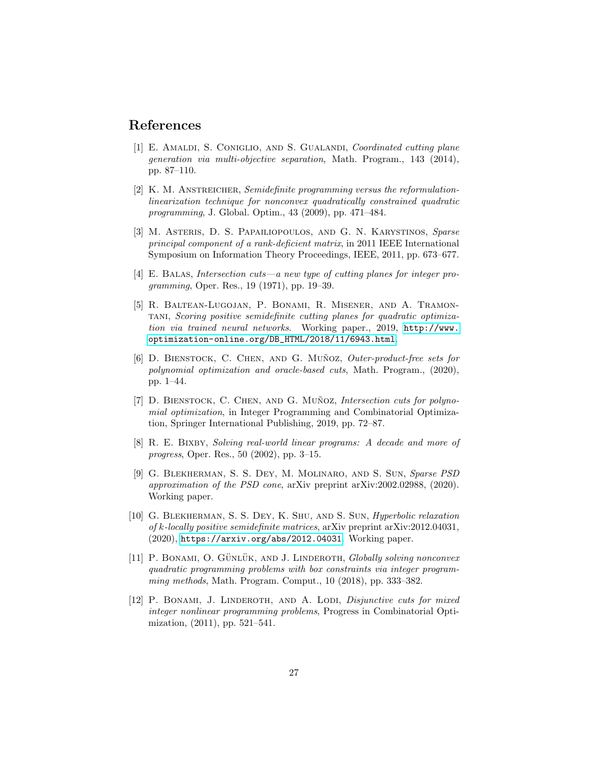# References

- <span id="page-26-1"></span>[1] E. AMALDI, S. CONIGLIO, AND S. GUALANDI, Coordinated cutting plane generation via multi-objective separation, Math. Program., 143 (2014), pp. 87–110.
- <span id="page-26-4"></span>[2] K. M. ANSTREICHER, Semidefinite programming versus the reformulationlinearization technique for nonconvex quadratically constrained quadratic programming, J. Global. Optim., 43 (2009), pp. 471–484.
- <span id="page-26-11"></span>[3] M. Asteris, D. S. Papailiopoulos, and G. N. Karystinos, Sparse principal component of a rank-deficient matrix, in 2011 IEEE International Symposium on Information Theory Proceedings, IEEE, 2011, pp. 673–677.
- <span id="page-26-8"></span>[4] E. Balas, Intersection cuts—a new type of cutting planes for integer programming, Oper. Res., 19 (1971), pp. 19–39.
- <span id="page-26-3"></span>[5] R. Baltean-Lugojan, P. Bonami, R. Misener, and A. Tramontani, Scoring positive semidefinite cutting planes for quadratic optimization via trained neural networks. Working paper., 2019, [http://www.](http://www.optimization-online.org/DB_HTML/2018/11/6943.html) [optimization-online.org/DB\\_HTML/2018/11/6943.html](http://www.optimization-online.org/DB_HTML/2018/11/6943.html).
- <span id="page-26-5"></span>[6] D. BIENSTOCK, C. CHEN, AND G. MUÑOZ, Outer-product-free sets for polynomial optimization and oracle-based cuts, Math. Program., (2020), pp. 1–44.
- <span id="page-26-9"></span>[7]  $D.$  BIENSTOCK, C. CHEN, AND G. MUÑOZ, Intersection cuts for polynomial optimization, in Integer Programming and Combinatorial Optimization, Springer International Publishing, 2019, pp. 72–87.
- <span id="page-26-2"></span>[8] R. E. Bixby, Solving real-world linear programs: A decade and more of progress, Oper. Res., 50 (2002), pp. 3–15.
- <span id="page-26-6"></span>[9] G. Blekherman, S. S. Dey, M. Molinaro, and S. Sun, Sparse PSD approximation of the PSD cone, arXiv preprint arXiv:2002.02988, (2020). Working paper.
- <span id="page-26-10"></span>[10] G. Blekherman, S. S. Dey, K. Shu, and S. Sun, Hyperbolic relaxation of k-locally positive semidefinite matrices, arXiv preprint arXiv:2012.04031, (2020), <https://arxiv.org/abs/2012.04031>. Working paper.
- <span id="page-26-7"></span>[11] P. BONAMI, O. GÜNLÜK, AND J. LINDEROTH, *Globally solving nonconvex* quadratic programming problems with box constraints via integer programming methods, Math. Program. Comput., 10 (2018), pp. 333–382.
- <span id="page-26-0"></span>[12] P. BONAMI, J. LINDEROTH, AND A. LODI, *Disjunctive cuts for mixed* integer nonlinear programming problems, Progress in Combinatorial Optimization, (2011), pp. 521–541.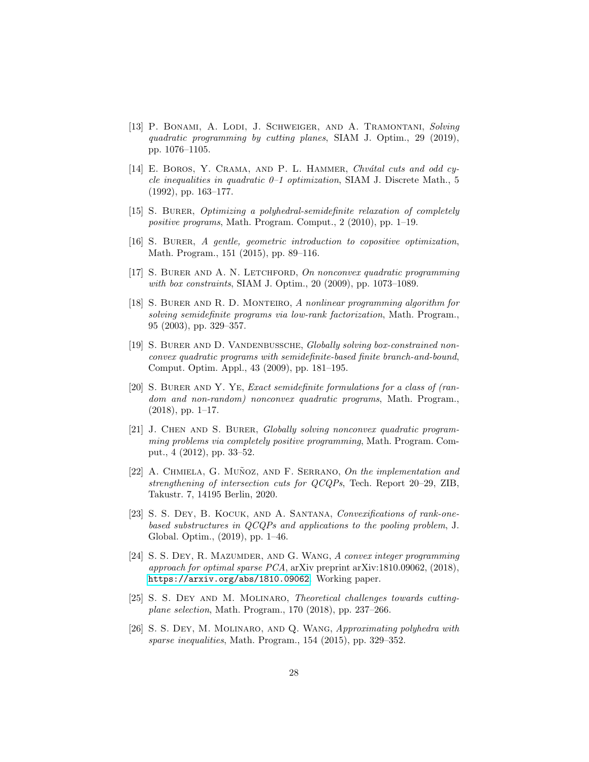- <span id="page-27-0"></span>[13] P. BONAMI, A. LODI, J. SCHWEIGER, AND A. TRAMONTANI, Solving quadratic programming by cutting planes, SIAM J. Optim., 29 (2019), pp. 1076–1105.
- <span id="page-27-8"></span>[14] E. BOROS, Y. CRAMA, AND P. L. HAMMER, Chvátal cuts and odd cycle inequalities in quadratic  $0-1$  optimization, SIAM J. Discrete Math., 5 (1992), pp. 163–177.
- <span id="page-27-12"></span>[15] S. BURER, *Optimizing a polyhedral-semidefinite relaxation of completely* positive programs, Math. Program. Comput., 2 (2010), pp. 1–19.
- <span id="page-27-7"></span>[16] S. Burer, A gentle, geometric introduction to copositive optimization, Math. Program., 151 (2015), pp. 89–116.
- <span id="page-27-1"></span>[17] S. BURER AND A. N. LETCHFORD, On nonconvex quadratic programming with box constraints, SIAM J. Optim., 20 (2009), pp. 1073–1089.
- <span id="page-27-6"></span>[18] S. Burer and R. D. Monteiro, A nonlinear programming algorithm for solving semidefinite programs via low-rank factorization, Math. Program., 95 (2003), pp. 329–357.
- <span id="page-27-4"></span>[19] S. BURER AND D. VANDENBUSSCHE, Globally solving box-constrained nonconvex quadratic programs with semidefinite-based finite branch-and-bound, Comput. Optim. Appl., 43 (2009), pp. 181–195.
- <span id="page-27-5"></span>[20] S. Burer and Y. Ye, Exact semidefinite formulations for a class of (random and non-random) nonconvex quadratic programs, Math. Program.,  $(2018)$ , pp. 1–17.
- <span id="page-27-13"></span>[21] J. CHEN AND S. BURER, Globally solving nonconvex quadratic programming problems via completely positive programming, Math. Program. Comput., 4 (2012), pp. 33–52.
- <span id="page-27-10"></span>[22] A. CHMIELA, G. MUÑOZ, AND F. SERRANO, On the implementation and strengthening of intersection cuts for QCQPs, Tech. Report 20–29, ZIB, Takustr. 7, 14195 Berlin, 2020.
- <span id="page-27-9"></span>[23] S. S. DEY, B. KOCUK, AND A. SANTANA, Convexifications of rank-onebased substructures in QCQPs and applications to the pooling problem, J. Global. Optim., (2019), pp. 1–46.
- <span id="page-27-11"></span>[24] S. S. DEY, R. MAZUMDER, AND G. WANG, A convex integer programming approach for optimal sparse PCA, arXiv preprint arXiv:1810.09062, (2018), <https://arxiv.org/abs/1810.09062>. Working paper.
- <span id="page-27-2"></span>[25] S. S. DEY AND M. MOLINARO, Theoretical challenges towards cuttingplane selection, Math. Program., 170 (2018), pp. 237–266.
- <span id="page-27-3"></span>[26] S. S. DEY, M. MOLINARO, AND Q. WANG, Approximating polyhedra with sparse inequalities, Math. Program., 154 (2015), pp. 329–352.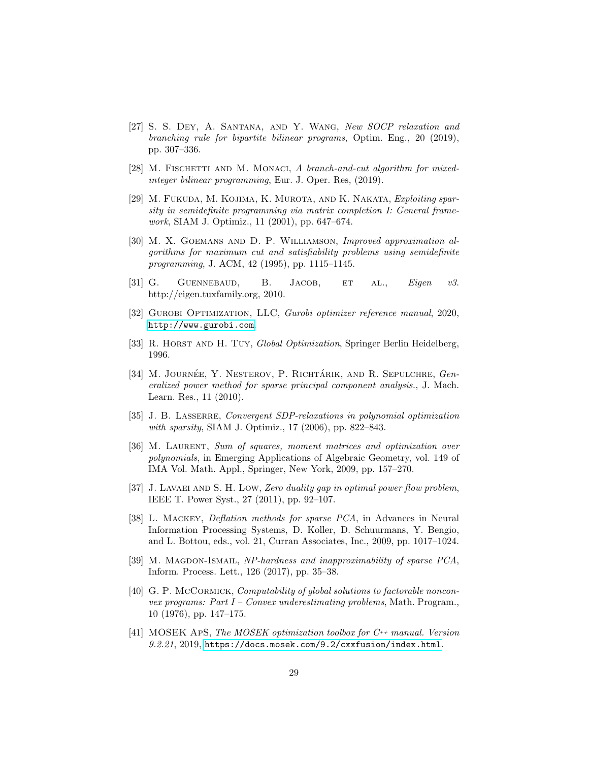- <span id="page-28-7"></span>[27] S. S. Dey, A. Santana, and Y. Wang, New SOCP relaxation and branching rule for bipartite bilinear programs, Optim. Eng., 20 (2019), pp. 307–336.
- <span id="page-28-8"></span>[28] M. FISCHETTI AND M. MONACI, A branch-and-cut algorithm for mixedinteger bilinear programming, Eur. J. Oper. Res, (2019).
- <span id="page-28-4"></span>[29] M. FUKUDA, M. KOJIMA, K. MUROTA, AND K. NAKATA, Exploiting sparsity in semidefinite programming via matrix completion I: General framework, SIAM J. Optimiz., 11 (2001), pp. 647–674.
- <span id="page-28-2"></span>[30] M. X. Goemans and D. P. Williamson, Improved approximation algorithms for maximum cut and satisfiability problems using semidefinite programming, J. ACM, 42 (1995), pp. 1115–1145.
- <span id="page-28-12"></span>[31] G. GUENNEBAUD, B. JACOB, ET AL., *Eigen v3.* http://eigen.tuxfamily.org, 2010.
- <span id="page-28-13"></span>[32] GUROBI OPTIMIZATION, LLC, Gurobi optimizer reference manual, 2020, <http://www.gurobi.com>.
- <span id="page-28-0"></span>[33] R. HORST AND H. TUY, Global Optimization, Springer Berlin Heidelberg, 1996.
- <span id="page-28-10"></span>[34] M. JOURNÉE, Y. NESTEROV, P. RICHTÁRIK, AND R. SEPULCHRE, Generalized power method for sparse principal component analysis., J. Mach. Learn. Res., 11 (2010).
- <span id="page-28-5"></span>[35] J. B. LASSERRE, Convergent SDP-relaxations in polynomial optimization with sparsity, SIAM J. Optimiz., 17 (2006), pp. 822–843.
- <span id="page-28-6"></span>[36] M. Laurent, Sum of squares, moment matrices and optimization over polynomials, in Emerging Applications of Algebraic Geometry, vol. 149 of IMA Vol. Math. Appl., Springer, New York, 2009, pp. 157–270.
- <span id="page-28-3"></span>[37] J. LAVAEI AND S. H. LOW, Zero duality gap in optimal power flow problem, IEEE T. Power Syst., 27 (2011), pp. 92–107.
- <span id="page-28-11"></span>[38] L. Mackey, Deflation methods for sparse PCA, in Advances in Neural Information Processing Systems, D. Koller, D. Schuurmans, Y. Bengio, and L. Bottou, eds., vol. 21, Curran Associates, Inc., 2009, pp. 1017–1024.
- <span id="page-28-9"></span>[39] M. MAGDON-ISMAIL, NP-hardness and inapproximability of sparse PCA, Inform. Process. Lett., 126 (2017), pp. 35–38.
- <span id="page-28-1"></span>[40] G. P. McCORMICK, Computability of global solutions to factorable nonconvex programs: Part  $I$  – Convex underestimating problems, Math. Program., 10 (1976), pp. 147–175.
- <span id="page-28-14"></span>[41] MOSEK ApS, The MOSEK optimization toolbox for  $C^{++}$  manual. Version 9.2.21, 2019, <https://docs.mosek.com/9.2/cxxfusion/index.html>.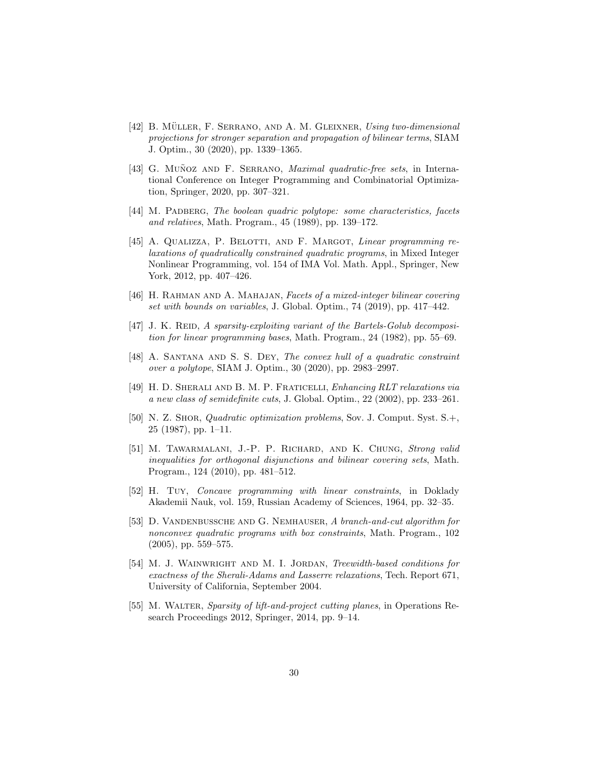- <span id="page-29-0"></span> $[42]$  B. MÜLLER, F. SERRANO, AND A. M. GLEIXNER, Using two-dimensional projections for stronger separation and propagation of bilinear terms, SIAM J. Optim., 30 (2020), pp. 1339–1365.
- <span id="page-29-1"></span>[43] G. MUÑOZ AND F. SERRANO, Maximal quadratic-free sets, in International Conference on Integer Programming and Combinatorial Optimization, Springer, 2020, pp. 307–321.
- <span id="page-29-10"></span>[44] M. PADBERG, The boolean quadric polytope: some characteristics, facets and relatives, Math. Program., 45 (1989), pp. 139–172.
- <span id="page-29-6"></span>[45] A. Qualizza, P. Belotti, and F. Margot, Linear programming relaxations of quadratically constrained quadratic programs, in Mixed Integer Nonlinear Programming, vol. 154 of IMA Vol. Math. Appl., Springer, New York, 2012, pp. 407–426.
- <span id="page-29-11"></span>[46] H. Rahman and A. Mahajan, Facets of a mixed-integer bilinear covering set with bounds on variables, J. Global. Optim., 74 (2019), pp. 417–442.
- <span id="page-29-4"></span>[47] J. K. REID, A sparsity-exploiting variant of the Bartels-Golub decomposition for linear programming bases, Math. Program., 24 (1982), pp. 55–69.
- <span id="page-29-2"></span>[48] A. SANTANA AND S. S. DEY, The convex hull of a quadratic constraint over a polytope, SIAM J. Optim., 30 (2020), pp. 2983–2997.
- <span id="page-29-8"></span>[49] H. D. Sherali and B. M. P. Fraticelli, Enhancing RLT relaxations via a new class of semidefinite cuts, J. Global. Optim., 22 (2002), pp. 233–261.
- <span id="page-29-7"></span>[50] N. Z. Shor, Quadratic optimization problems, Sov. J. Comput. Syst. S.+, 25 (1987), pp. 1–11.
- <span id="page-29-3"></span>[51] M. Tawarmalani, J.-P. P. Richard, and K. Chung, Strong valid inequalities for orthogonal disjunctions and bilinear covering sets, Math. Program., 124 (2010), pp. 481–512.
- <span id="page-29-12"></span>[52] H. Tuy, Concave programming with linear constraints, in Doklady Akademii Nauk, vol. 159, Russian Academy of Sciences, 1964, pp. 32–35.
- <span id="page-29-13"></span>[53] D. VANDENBUSSCHE AND G. NEMHAUSER, A branch-and-cut algorithm for nonconvex quadratic programs with box constraints, Math. Program., 102 (2005), pp. 559–575.
- <span id="page-29-9"></span>[54] M. J. WAINWRIGHT AND M. I. JORDAN, Treewidth-based conditions for exactness of the Sherali-Adams and Lasserre relaxations, Tech. Report 671, University of California, September 2004.
- <span id="page-29-5"></span>[55] M. WALTER, Sparsity of lift-and-project cutting planes, in Operations Research Proceedings 2012, Springer, 2014, pp. 9–14.